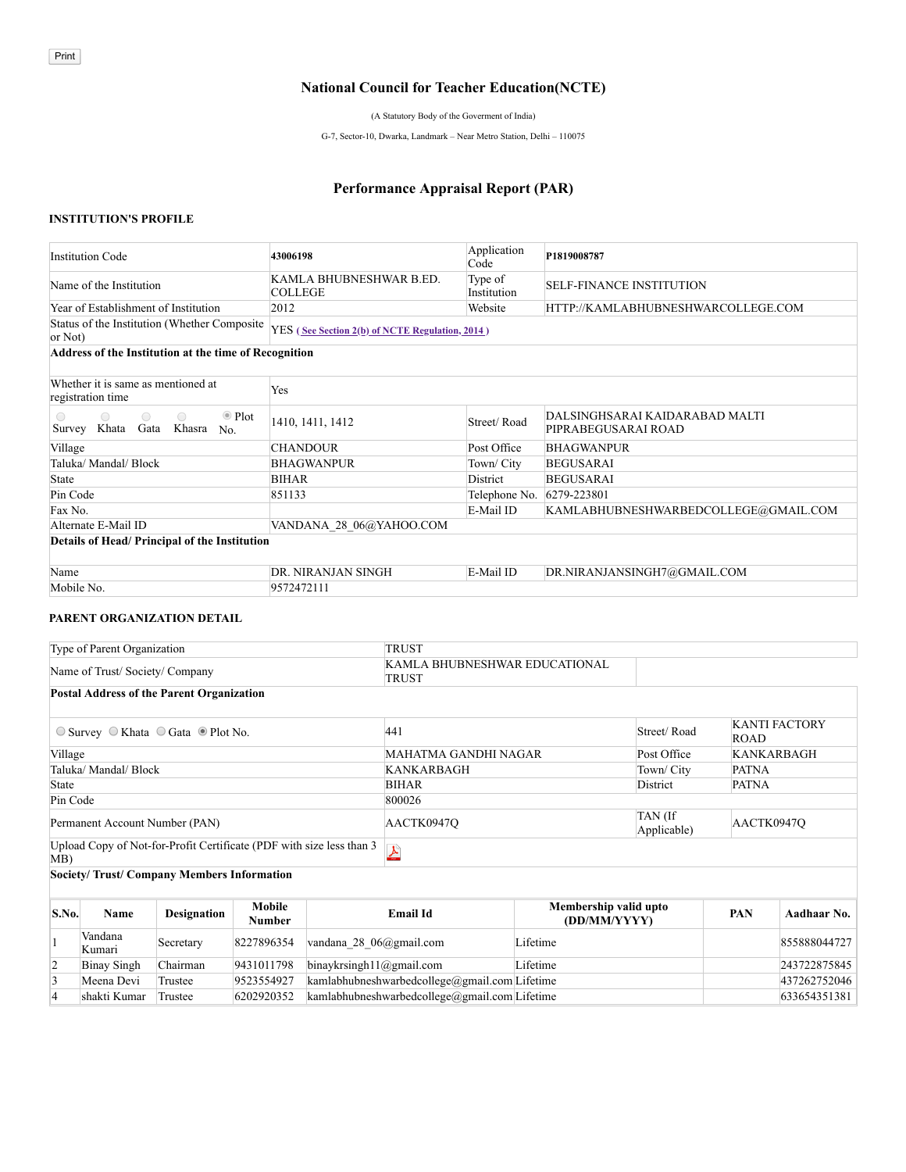## **National Council for Teacher Education(NCTE)**

(A Statutory Body of the Goverment of India)

G-7, Sector-10, Dwarka, Landmark – Near Metro Station, Delhi – 110075

# **Performance Appraisal Report (PAR)**

#### **INSTITUTION'S PROFILE**

| <b>Institution Code</b>                                                                                         | 43006198                                        | Application<br>Code    | P1819008787                                           |
|-----------------------------------------------------------------------------------------------------------------|-------------------------------------------------|------------------------|-------------------------------------------------------|
| Name of the Institution                                                                                         | KAMLA BHUBNESHWAR B.ED.<br><b>COLLEGE</b>       | Type of<br>Institution | <b>SELF-FINANCE INSTITUTION</b>                       |
| Year of Establishment of Institution                                                                            | 2012                                            | Website                | HTTP://KAMLABHUBNESHWARCOLLEGE.COM                    |
| Status of the Institution (Whether Composite)<br>or Not)                                                        | YES (See Section 2(b) of NCTE Regulation, 2014) |                        |                                                       |
| Address of the Institution at the time of Recognition                                                           |                                                 |                        |                                                       |
| Whether it is same as mentioned at<br>registration time                                                         | Yes                                             |                        |                                                       |
| $\bullet$ Plot<br>$\bigcirc$<br>$\bigcirc$<br>$\bigcirc$<br>$\bigcirc$<br>Khata Gata<br>Survey<br>Khasra<br>No. | 1410, 1411, 1412                                | Street/Road            | DALSINGHSARAI KAIDARABAD MALTI<br>PIPRABEGUSARAI ROAD |
| Village                                                                                                         | <b>CHANDOUR</b>                                 | Post Office            | <b>BHAGWANPUR</b>                                     |
| Taluka/ Mandal/ Block                                                                                           | <b>BHAGWANPUR</b>                               | Town/ City             | <b>BEGUSARAI</b>                                      |
| <b>State</b>                                                                                                    | <b>BIHAR</b>                                    | District               | <b>BEGUSARAI</b>                                      |
| Pin Code                                                                                                        | 851133                                          | Telephone No.          | 6279-223801                                           |
| Fax No.                                                                                                         |                                                 | E-Mail ID              | KAMLABHUBNESHWARBEDCOLLEGE@GMAIL.COM                  |
| Alternate E-Mail ID                                                                                             | VANDANA 28 06@YAHOO.COM                         |                        |                                                       |
| Details of Head/ Principal of the Institution                                                                   |                                                 |                        |                                                       |
| Name                                                                                                            | DR. NIRANJAN SINGH                              | E-Mail ID              | DR.NIRANJANSINGH7@GMAIL.COM                           |
| Mobile No.                                                                                                      | 9572472111                                      |                        |                                                       |

#### **PARENT ORGANIZATION DETAIL**

| Type of Parent Organization                                                 |                    |                         |  | TRUST                                              |                                       |             |                   |                      |
|-----------------------------------------------------------------------------|--------------------|-------------------------|--|----------------------------------------------------|---------------------------------------|-------------|-------------------|----------------------|
| Name of Trust/Society/Company                                               |                    |                         |  | KAMLA BHUBNESHWAR EDUCATIONAL<br>TRUST             |                                       |             |                   |                      |
| <b>Postal Address of the Parent Organization</b>                            |                    |                         |  |                                                    |                                       |             |                   |                      |
| $\circ$ Survey $\circ$ Khata $\circ$ Gata $\circ$ Plot No.                  |                    |                         |  | 441                                                |                                       | Street/Road | <b>ROAD</b>       | <b>KANTI FACTORY</b> |
| Village                                                                     |                    |                         |  | MAHATMA GANDHI NAGAR                               |                                       | Post Office | <b>KANKARBAGH</b> |                      |
| Taluka/ Mandal/ Block                                                       |                    |                         |  | <b>KANKARBAGH</b>                                  | <b>PATNA</b><br>Town/ City            |             |                   |                      |
| State                                                                       |                    |                         |  | <b>BIHAR</b>                                       |                                       | District    | <b>PATNA</b>      |                      |
| Pin Code                                                                    |                    |                         |  | 800026                                             |                                       |             |                   |                      |
| Permanent Account Number (PAN)                                              |                    |                         |  | TAN (If<br>AACTK0947O<br>AACTK0947O<br>Applicable) |                                       |             |                   |                      |
| Upload Copy of Not-for-Profit Certificate (PDF with size less than 3<br>MB) |                    |                         |  | $\pmb{\lambda}$                                    |                                       |             |                   |                      |
| Society/Trust/Company Members Information                                   |                    |                         |  |                                                    |                                       |             |                   |                      |
| S.No.<br>Name                                                               | <b>Designation</b> | <b>Mobile</b><br>Number |  | <b>Email Id</b>                                    | Membership valid upto<br>(DD/MM/YYYY) |             | <b>PAN</b>        | Aadhaar No.          |

|  |                    |           | .          |                                                            |          |              |
|--|--------------------|-----------|------------|------------------------------------------------------------|----------|--------------|
|  | Vandana<br>Kumari  | Secretary | 8227896354 | vandana 28 $06$ @gmail.com                                 | Lifetime | 855888044727 |
|  | <b>Binay Singh</b> | Chairman  | 9431011798 | $\frac{1}{2}$ binaykrsingh11@gmail.com                     | Lifetime | 243722875845 |
|  | Meena Devi         | Trustee   | 9523554927 | $kamlabhubneshwarbedcollege(\partial gmail.com) Life time$ |          | 437262752046 |
|  | shakti Kumar       | Trustee   | 6202920352 | $kamlabhubneshwarbedcollege(\partial gmail.com) Life time$ |          | 633654351381 |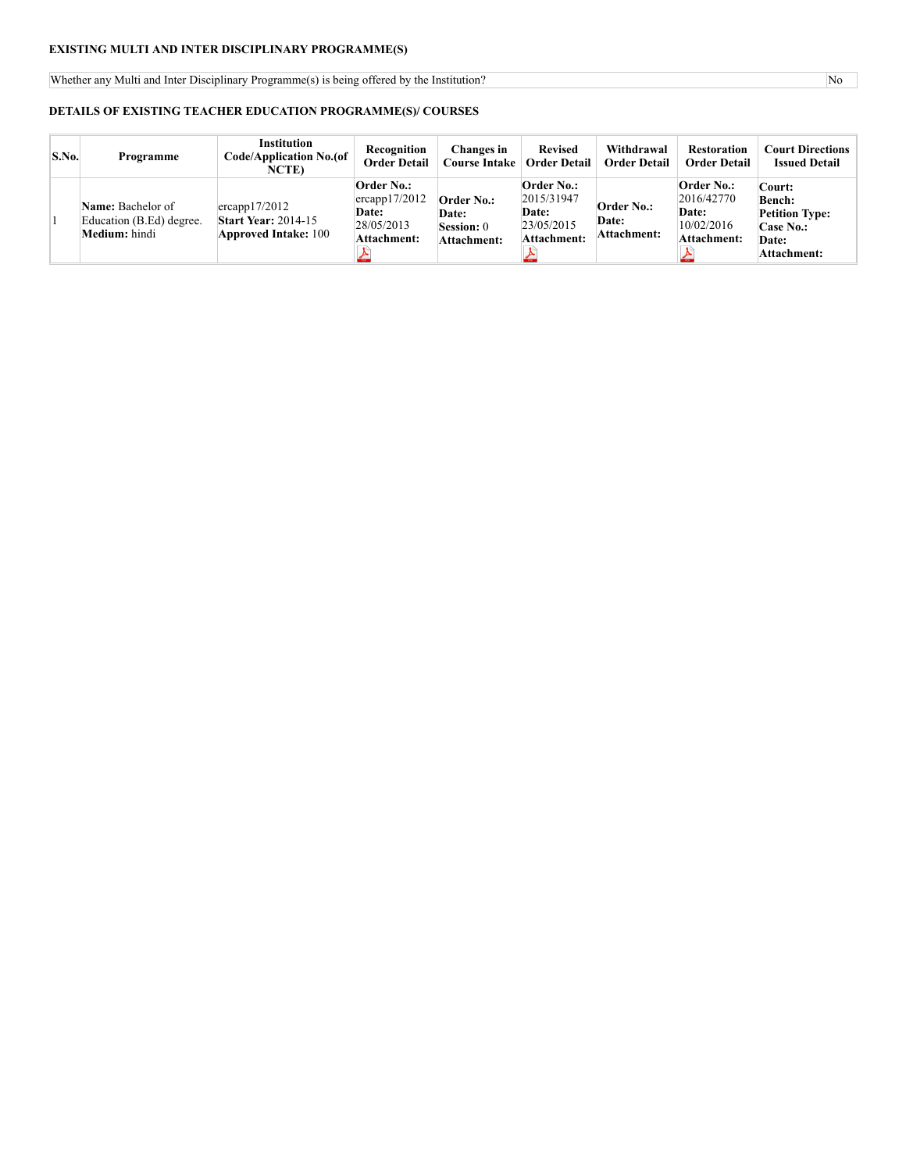## **EXISTING MULTI AND INTER DISCIPLINARY PROGRAMME(S)**

Whether any Multi and Inter Disciplinary Programme(s) is being offered by the Institution? No

#### **DETAILS OF EXISTING TEACHER EDUCATION PROGRAMME(S)/ COURSES**

| S.No. | Programme                                                             | <b>Institution</b><br>Code/Application No.(of<br><b>NCTE</b> )             | Recognition<br><b>Order Detail</b>                                                            | <b>Changes</b> in<br>Course Intake                                    | <b>Revised</b><br><b>Order Detail</b>                                          | Withdrawal<br><b>Order Detail</b>         | <b>Restoration</b><br><b>Order Detail</b>                                    | <b>Court Directions</b><br><b>Issued Detail</b>                                              |
|-------|-----------------------------------------------------------------------|----------------------------------------------------------------------------|-----------------------------------------------------------------------------------------------|-----------------------------------------------------------------------|--------------------------------------------------------------------------------|-------------------------------------------|------------------------------------------------------------------------------|----------------------------------------------------------------------------------------------|
|       | <b>Name:</b> Bachelor of<br>Education (B.Ed) degree.<br>Medium: hindi | ercapp17/2012<br><b>Start Year: 2014-15</b><br><b>Approved Intake: 100</b> | <b>Order No.:</b><br>$ $ ercapp $17/2012$<br><b>Date:</b><br>28/05/2013<br><b>Attachment:</b> | <b>Order No.:</b><br><b>Date:</b><br><b>Session:</b> 0<br>Attachment: | <b>Order No.:</b><br>2015/31947<br>Date:<br> 23/05/2015 <br><b>Attachment:</b> | <b>Order No.:</b><br>Date:<br>Attachment: | <b>Order No.:</b><br>2016/42770<br><b>Date:</b><br>10/02/2016<br>Attachment: | Court:<br><b>Bench:</b><br><b>Petition Type:</b><br><b>Case No.:</b><br>Date:<br>Attachment: |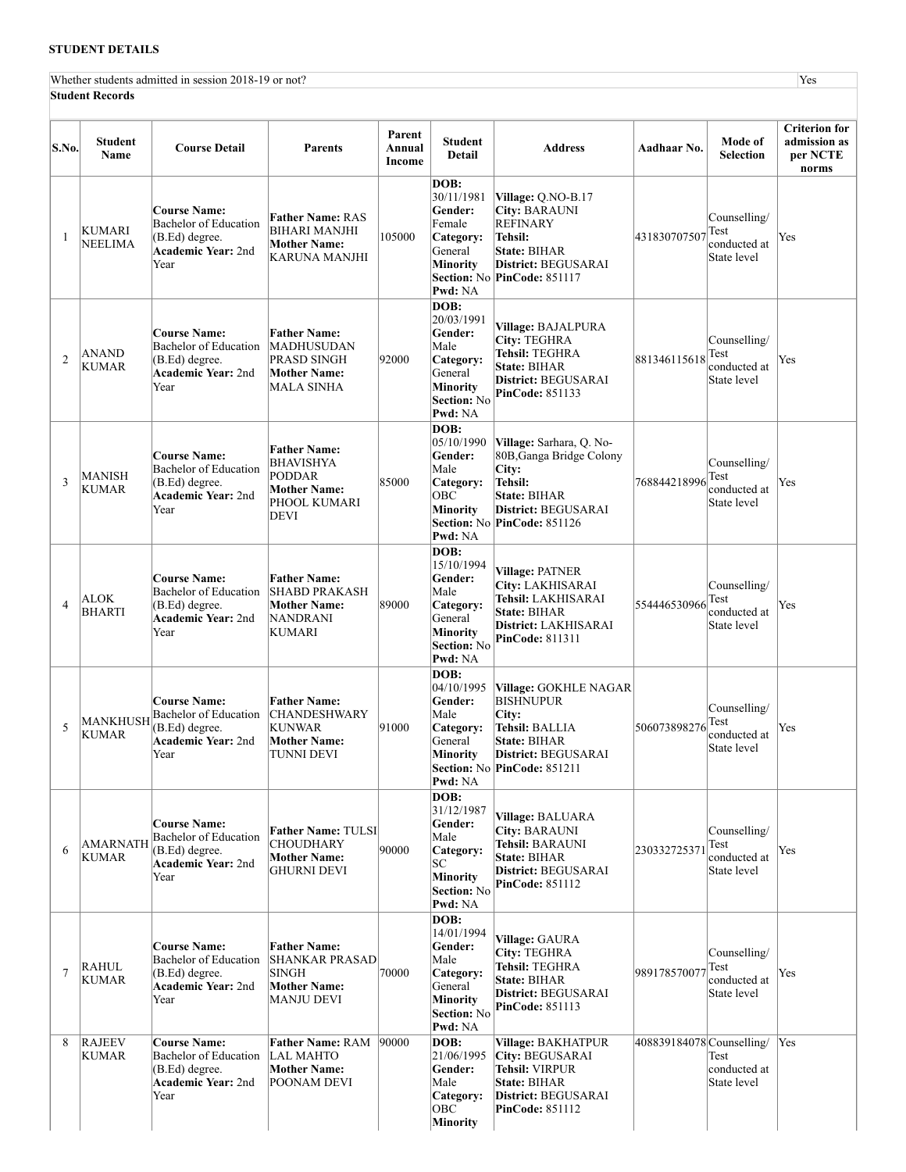## **STUDENT DETAILS**

Whether students admitted in session 2018-19 or not? Yes **Student Records**

| S.No.          | <b>Student</b><br>Name        | <b>Course Detail</b>                                                                                       | <b>Parents</b>                                                                                   | Parent<br>Annual<br>Income | <b>Student</b><br><b>Detail</b>                                                                                          | <b>Address</b>                                                                                                                                        | Aadhaar No.               | Mode of<br><b>Selection</b>                         | <b>Criterion for</b><br>admission as<br>per NCTE<br>norms |
|----------------|-------------------------------|------------------------------------------------------------------------------------------------------------|--------------------------------------------------------------------------------------------------|----------------------------|--------------------------------------------------------------------------------------------------------------------------|-------------------------------------------------------------------------------------------------------------------------------------------------------|---------------------------|-----------------------------------------------------|-----------------------------------------------------------|
| $\mathbf{1}$   | KUMARI<br><b>NEELIMA</b>      | <b>Course Name:</b><br><b>Bachelor of Education</b><br>(B.Ed) degree.<br><b>Academic Year:</b> 2nd<br>Year | <b>Father Name: RAS</b><br><b>BIHARI MANJHI</b><br><b>Mother Name:</b><br>KARUNA MANJHI          | 105000                     | DOB:<br>30/11/1981<br>Gender:<br>Female<br>Category:<br>General<br><b>Minority</b><br>Pwd: NA                            | Village: Q.NO-B.17<br><b>City: BARAUNI</b><br><b>REFINARY</b><br>Tehsil:<br>State: BIHAR<br>District: BEGUSARAI<br>Section: No PinCode: 851117        | 431830707507              | Counselling/<br>Test<br>conducted at<br>State level | Yes                                                       |
| $\overline{2}$ | ANAND<br><b>KUMAR</b>         | <b>Course Name:</b><br><b>Bachelor of Education</b><br>(B.Ed) degree.<br><b>Academic Year:</b> 2nd<br>Year | <b>Father Name:</b><br> MADHUSUDAN<br>PRASD SINGH<br><b>Mother Name:</b><br>MALA SINHA           | 92000                      | DOB:<br>20/03/1991<br>Gender:<br>Male<br>Category:<br>General<br><b>Minority</b><br><b>Section: No</b><br><b>Pwd:</b> NA | Village: BAJALPURA<br><b>City: TEGHRA</b><br>Tehsil: TEGHRA<br><b>State: BIHAR</b><br>District: BEGUSARAI<br>PinCode: 851133                          | 881346115618              | Counselling/<br>Test<br>conducted at<br>State level | Yes                                                       |
| 3              | MANISH<br><b>KUMAR</b>        | <b>Course Name:</b><br><b>Bachelor</b> of Education<br>(B.Ed) degree.<br><b>Academic Year:</b> 2nd<br>Year | <b>Father Name:</b><br>BHAVISHYA<br><b>PODDAR</b><br><b>Mother Name:</b><br>PHOOL KUMARI<br>DEVI | 85000                      | DOB:<br>05/10/1990<br>Gender:<br>Male<br>Category:<br><b>OBC</b><br>Minority<br>Pwd: NA                                  | Village: Sarhara, Q. No-<br>80B, Ganga Bridge Colony<br>City:<br>Tehsil:<br><b>State: BIHAR</b><br>District: BEGUSARAI<br>Section: No PinCode: 851126 | 768844218996              | Counselling/<br>Test<br>conducted at<br>State level | Yes                                                       |
| $\overline{4}$ | ALOK<br><b>BHARTI</b>         | <b>Course Name:</b><br><b>Bachelor of Education</b><br>(B.Ed) degree.<br><b>Academic Year:</b> 2nd<br>Year | <b>Father Name:</b><br><b>SHABD PRAKASH</b><br><b>Mother Name:</b><br><b>NANDRANI</b><br>KUMARI  | 89000                      | DOB:<br>15/10/1994<br>Gender:<br>Male<br>Category:<br>General<br><b>Minority</b><br><b>Section: No</b><br><b>Pwd:</b> NA | Village: PATNER<br>City: LAKHISARAI<br>Tehsil: LAKHISARAI<br><b>State: BIHAR</b><br>District: LAKHISARAI<br><b>PinCode: 811311</b>                    | 554446530966              | Counselling/<br>Test<br>conducted at<br>State level | Yes                                                       |
| 5              | MANKHUSH<br><b>KUMAR</b>      | <b>Course Name:</b><br>Bachelor of Education<br>(B.Ed) degree.<br><b>Academic Year:</b> 2nd<br>Year        | <b>Father Name:</b><br><b>CHANDESHWARY</b><br><b>KUNWAR</b><br><b>Mother Name:</b><br>TUNNI DEVI | 91000                      | DOB:<br>04/10/1995<br>Gender:<br>Male<br>Category:<br>General<br><b>Minority</b><br>Pwd: NA                              | Village: GOKHLE NAGAR<br><b>BISHNUPUR</b><br>City:<br>Tehsil: BALLIA<br><b>State: BIHAR</b><br>District: BEGUSARAI<br>Section: No PinCode: 851211     | 506073898276              | Counselling/<br>Test<br>conducted at<br>State level | Yes                                                       |
| 6              | AMARNATH<br><b>KUMAR</b>      | <b>Course Name:</b><br>Bachelor of Education<br>(B.Ed) degree.<br><b>Academic Year: 2nd</b><br>Year        | <b>Father Name: TULSI</b><br><b>CHOUDHARY</b><br><b>Mother Name:</b><br><b>GHURNI DEVI</b>       | 90000                      | DOB:<br>31/12/1987<br>Gender:<br>Male<br>Category:<br>lsc<br>Minority<br>Section: No<br>Pwd: NA                          | Village: BALUARA<br><b>City: BARAUNI</b><br>Tehsil: BARAUNI<br><b>State: BIHAR</b><br>District: BEGUSARAI<br><b>PinCode: 851112</b>                   | 230332725371              | Counselling/<br>Test<br>conducted at<br>State level | Yes                                                       |
| $\overline{7}$ | RAHUL<br><b>KUMAR</b>         | <b>Course Name:</b><br><b>Bachelor of Education</b><br>(B.Ed) degree.<br><b>Academic Year:</b> 2nd<br>Year | <b>Father Name:</b><br> SHANKAR PRASAD<br><b>SINGH</b><br><b>Mother Name:</b><br>MANJU DEVI      | 70000                      | DOB:<br>14/01/1994<br>Gender:<br>Male<br>Category:<br>General<br><b>Minority</b><br><b>Section: No</b><br>Pwd: NA        | Village: GAURA<br><b>City: TEGHRA</b><br>Tehsil: TEGHRA<br>State: BIHAR<br>District: BEGUSARAI<br><b>PinCode: 851113</b>                              | 98917857007               | Counselling/<br>Test<br>conducted at<br>State level | Yes                                                       |
| 8              | <b>RAJEEV</b><br><b>KUMAR</b> | <b>Course Name:</b><br><b>Bachelor of Education</b><br>(B.Ed) degree.<br><b>Academic Year:</b> 2nd<br>Year | <b>Father Name: RAM</b><br><b>LAL MAHTO</b><br><b>Mother Name:</b><br>POONAM DEVI                | 90000                      | DOB:<br>21/06/1995<br>Gender:<br>Male<br>Category:<br><b>OBC</b><br>Minority                                             | Village: BAKHATPUR<br>City: BEGUSARAI<br><b>Tehsil: VIRPUR</b><br><b>State: BIHAR</b><br>District: BEGUSARAI<br>PinCode: 851112                       | 408839184078 Counselling/ | Test<br>conducted at<br>State level                 | Yes                                                       |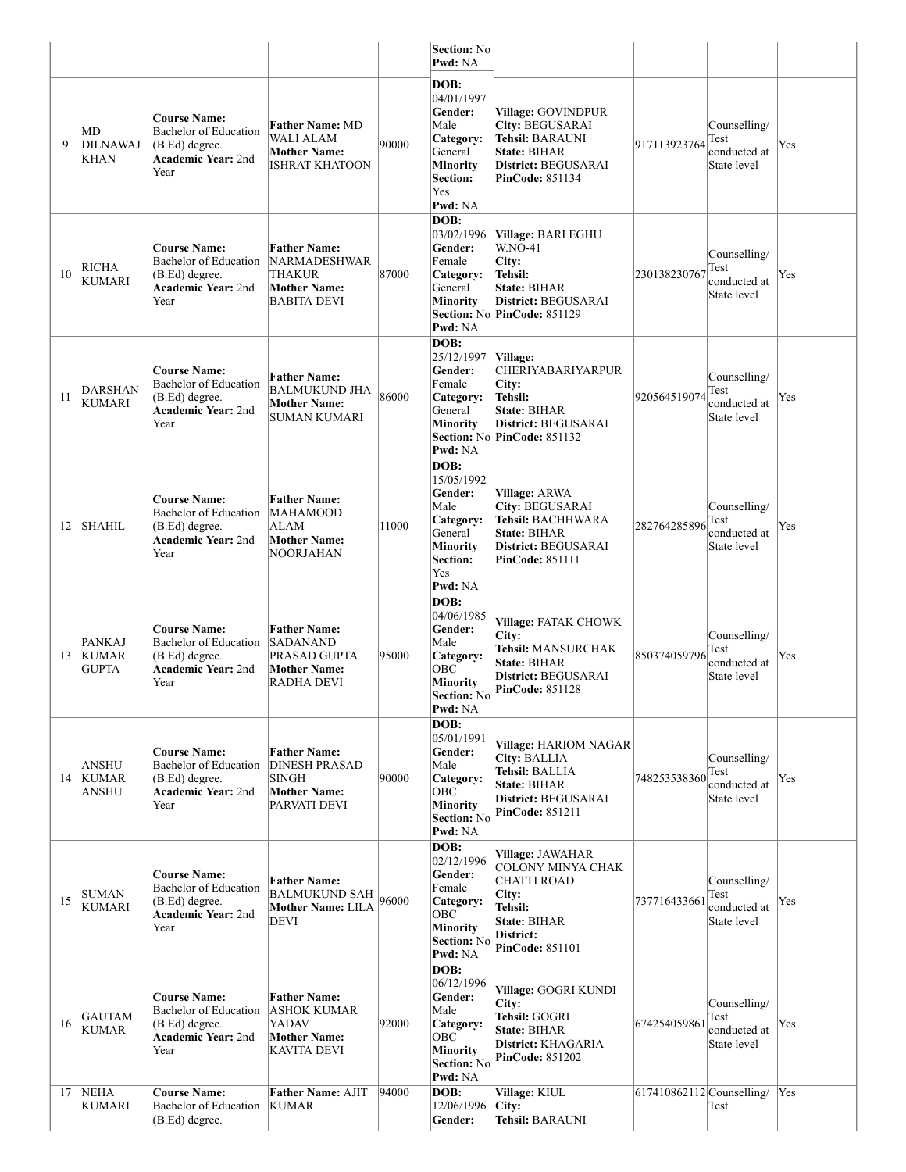|    |                                               |                                                                                                       |                                                                                             |       | <b>Section: No</b><br>Pwd: NA                                                                                         |                                                                                                                                         |                            |                                                     |     |
|----|-----------------------------------------------|-------------------------------------------------------------------------------------------------------|---------------------------------------------------------------------------------------------|-------|-----------------------------------------------------------------------------------------------------------------------|-----------------------------------------------------------------------------------------------------------------------------------------|----------------------------|-----------------------------------------------------|-----|
| 9  | MD<br><b>DILNAWAJ</b><br><b>KHAN</b>          | Course Name:<br><b>Bachelor of Education</b><br>(B.Ed) degree.<br><b>Academic Year: 2nd</b><br>Year   | <b>Father Name: MD</b><br>WALI ALAM<br><b>Mother Name:</b><br>ISHRAT KHATOON                | 90000 | DOB:<br>04/01/1997<br>Gender:<br>Male<br>Category:<br>General<br><b>Minority</b><br>Section:<br>Yes<br>Pwd: NA        | Village: GOVINDPUR<br>City: BEGUSARAI<br><b>Tehsil: BARAUNI</b><br><b>State: BIHAR</b><br>District: BEGUSARAI<br><b>PinCode: 851134</b> | 917113923764               | Counselling/<br>Test<br>conducted at<br>State level | Yes |
| 10 | <b>RICHA</b><br><b>KUMARI</b>                 | Course Name:<br>Bachelor of Education<br>$(B.Ed)$ degree.<br>Academic Year: 2nd<br>Year               | <b>Father Name:</b><br>NARMADESHWAR<br>THAKUR<br><b>Mother Name:</b><br>BABITA DEVI         | 87000 | DOB:<br>03/02/1996<br>Gender:<br>Female<br>Category:<br>General<br><b>Minority</b><br>Pwd: NA                         | Village: BARI EGHU<br><b>W.NO-41</b><br>City:<br>Tehsil:<br><b>State: BIHAR</b><br>District: BEGUSARAI<br>Section: No PinCode: 851129   | 230138230767               | Counselling/<br>Test<br>conducted at<br>State level | Yes |
| 11 | DARSHAN<br><b>KUMARI</b>                      | <b>Course Name:</b><br>Bachelor of Education<br>$(B.Ed)$ degree.<br><b>Academic Year: 2nd</b><br>Year | <b>Father Name:</b><br>BALMUKUND JHA<br><b>Mother Name:</b><br>SUMAN KUMARI                 | 86000 | DOB:<br>25/12/1997<br>Gender:<br>Female<br>Category:<br>General<br>Minority<br>Pwd: NA                                | Village:<br><b>CHERIYABARIYARPUR</b><br>City:<br>Tehsil:<br>State: BIHAR<br>District: BEGUSARAI<br>Section: No PinCode: 851132          | 920564519074               | Counselling/<br>Test<br>conducted at<br>State level | Yes |
| 12 | <b>SHAHIL</b>                                 | <b>Course Name:</b><br>Bachelor of Education<br>$(B.Ed)$ degree.<br><b>Academic Year: 2nd</b><br>Year | <b>Father Name:</b><br><b>MAHAMOOD</b><br>ALAM<br><b>Mother Name:</b><br>NOORJAHAN          | 11000 | DOB:<br>15/05/1992<br>Gender:<br>Male<br>Category:<br>General<br><b>Minority</b><br><b>Section:</b><br>Yes<br>Pwd: NA | Village: ARWA<br>City: BEGUSARAI<br>Tehsil: BACHHWARA<br><b>State: BIHAR</b><br>District: BEGUSARAI<br><b>PinCode: 851111</b>           | 282764285896               | Counselling/<br>Test<br>conducted at<br>State level | Yes |
| 13 | <b>PANKAJ</b><br><b>KUMAR</b><br><b>GUPTA</b> | <b>Course Name:</b><br>Bachelor of Education<br>$(B.Ed)$ degree.<br><b>Academic Year: 2nd</b><br>Year | <b>Father Name:</b><br><b>SADANAND</b><br>PRASAD GUPTA<br><b>Mother Name:</b><br>RADHA DEVI | 95000 | DOB:<br>04/06/1985<br>Gender:<br>Male<br>Category:<br>ОВС<br><b>Minority</b><br><b>Section:</b> No<br>Pwd: NA         | Village: FATAK CHOWK<br>City:<br>Tehsil: MANSURCHAK<br><b>State: BIHAR</b><br>District: BEGUSARAI<br>PinCode: 851128                    | 850374059796               | Counselling/<br>Test<br>conducted at<br>State level | Yes |
|    | <b>ANSHU</b><br>14 KUMAR<br><b>ANSHU</b>      | <b>Course Name:</b><br>Bachelor of Education<br>$(B.Ed)$ degree.<br><b>Academic Year: 2nd</b><br>Year | <b>Father Name:</b><br><b>DINESH PRASAD</b><br>SINGH<br><b>Mother Name:</b><br>PARVATI DEVI | 90000 | DOB:<br>05/01/1991<br>Gender:<br>Male<br>Category:<br>OBC<br><b>Minority</b><br>Section: No<br>Pwd: NA                | Village: HARIOM NAGAR<br>City: BALLIA<br>Tehsil: BALLIA<br><b>State: BIHAR</b><br>District: BEGUSARAI<br><b>PinCode: 851211</b>         | 748253538360               | Counselling/<br>Test<br>conducted at<br>State level | Yes |
| 15 | <b>SUMAN</b><br><b>KUMARI</b>                 | <b>Course Name:</b><br>Bachelor of Education<br>(B.Ed) degree.<br><b>Academic Year: 2nd</b><br>Year   | <b>Father Name:</b><br>BALMUKUND SAH<br><b>Mother Name: LILA</b><br><b>DEVI</b>             | 96000 | DOB:<br>02/12/1996<br>Gender:<br>Female<br>Category:<br>OBC<br><b>Minority</b><br>Section: No<br>Pwd: NA              | Village: JAWAHAR<br><b>COLONY MINYA CHAK</b><br><b>CHATTI ROAD</b><br>City:<br>Tehsil:<br>State: BIHAR<br>District:<br>PinCode: 851101  | 737716433661               | Counselling/<br>Test<br>conducted at<br>State level | Yes |
| 16 | <b>GAUTAM</b><br><b>KUMAR</b>                 | <b>Course Name:</b><br>Bachelor of Education<br>$(B.Ed)$ degree.<br><b>Academic Year: 2nd</b><br>Year | <b>Father Name:</b><br>ASHOK KUMAR<br>YADAV<br><b>Mother Name:</b><br><b>KAVITA DEVI</b>    | 92000 | DOB:<br>06/12/1996<br>Gender:<br>Male<br>Category:<br>OBC<br><b>Minority</b><br><b>Section: No</b><br>Pwd: NA         | Village: GOGRI KUNDI<br>City:<br>Tehsil: GOGRI<br><b>State: BIHAR</b><br>District: KHAGARIA<br><b>PinCode: 851202</b>                   | 67425405986                | Counselling/<br>Test<br>conducted at<br>State level | Yes |
| 17 | <b>NEHA</b><br>KUMARI                         | <b>Course Name:</b><br><b>Bachelor of Education</b><br>$(B.Ed)$ degree.                               | Father Name: AJIT<br>KUMAR                                                                  | 94000 | DOB:<br>12/06/1996<br>Gender:                                                                                         | Village: KIUL<br>City:<br>Tehsil: BARAUNI                                                                                               | $617410862112$ Counselling | Test                                                | Yes |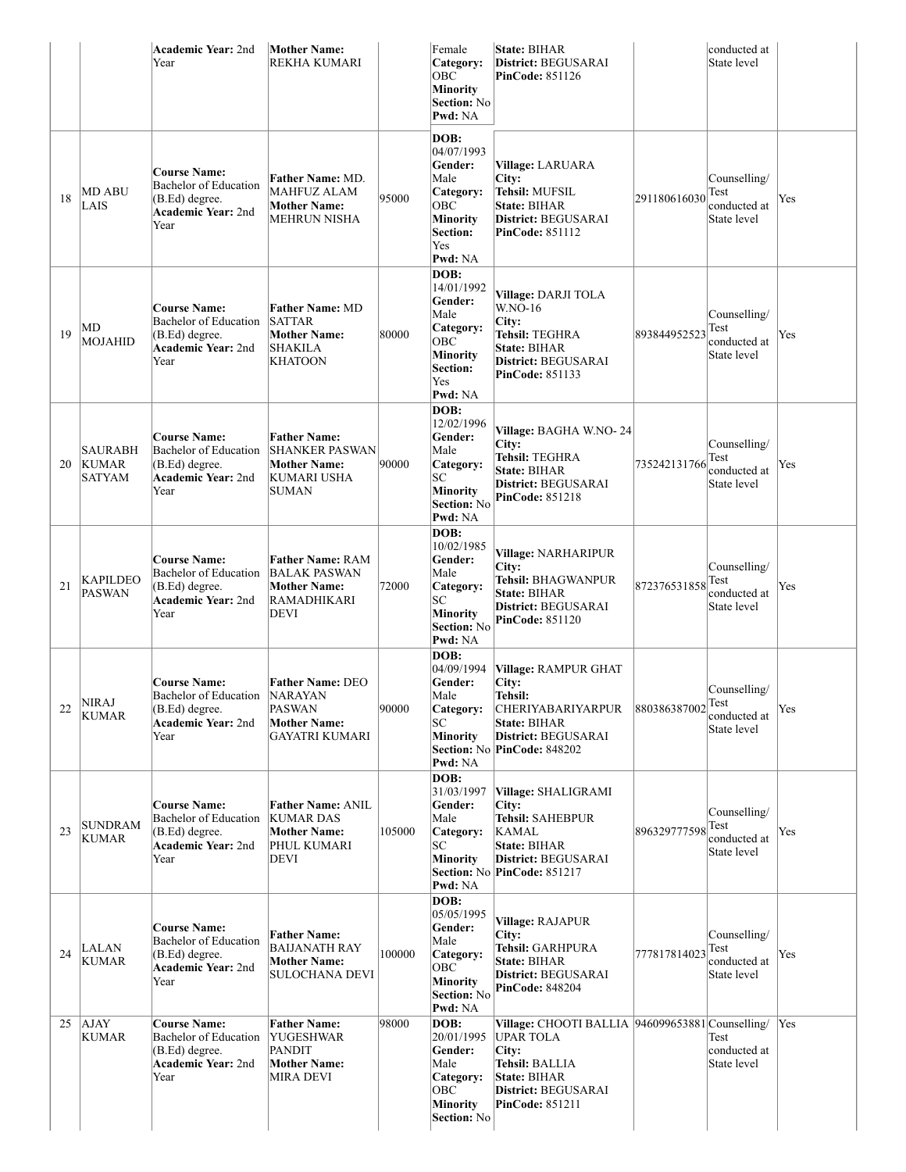|    |                                          | <b>Academic Year: 2nd</b><br>Year                                                                          | <b>Mother Name:</b><br><b>REKHA KUMARI</b>                                                          |        | Female<br>Category:<br>OBC<br><b>Minority</b><br>Section: No<br>Pwd: NA                                              | State: BIHAR<br>District: BEGUSARAI<br><b>PinCode: 851126</b>                                                                                                           |              | conducted at<br>State level                         |     |
|----|------------------------------------------|------------------------------------------------------------------------------------------------------------|-----------------------------------------------------------------------------------------------------|--------|----------------------------------------------------------------------------------------------------------------------|-------------------------------------------------------------------------------------------------------------------------------------------------------------------------|--------------|-----------------------------------------------------|-----|
| 18 | <b>MD ABU</b><br>LAIS                    | <b>Course Name:</b><br><b>Bachelor of Education</b><br>(B.Ed) degree.<br><b>Academic Year:</b> 2nd<br>Year | Father Name: MD.<br><b>MAHFUZ ALAM</b><br><b>Mother Name:</b><br>MEHRUN NISHA                       | 95000  | DOB:<br>04/07/1993<br>Gender:<br>Male<br>Category:<br>OBC<br>Minority<br><b>Section:</b><br>Yes<br>Pwd: NA           | <b>Village: LARUARA</b><br>City:<br>Tehsil: MUFSIL<br>State: BIHAR<br>District: BEGUSARAI<br><b>PinCode: 851112</b>                                                     | 291180616030 | Counselling/<br>Test<br>conducted at<br>State level | Yes |
| 19 | MD<br>MOJAHID                            | <b>Course Name:</b><br><b>Bachelor</b> of Education<br>(B.Ed) degree.<br><b>Academic Year: 2nd</b><br>Year | <b>Father Name: MD</b><br><b>SATTAR</b><br><b>Mother Name:</b><br>SHAKILA<br>KHATOON                | 80000  | DOB:<br>14/01/1992<br>Gender:<br>Male<br>Category:<br>OBC<br><b>Minority</b><br><b>Section:</b><br>Yes<br>Pwd: NA    | Village: DARJI TOLA<br>W.NO-16<br>City:<br>Tehsil: TEGHRA<br>State: BIHAR<br>District: BEGUSARAI<br><b>PinCode: 851133</b>                                              | 893844952523 | Counselling/<br>Test<br>conducted at<br>State level | Yes |
| 20 | <b>SAURABH</b><br><b>KUMAR</b><br>SATYAM | <b>Course Name:</b><br>Bachelor of Education<br>(B.Ed) degree.<br><b>Academic Year: 2nd</b><br>Year        | <b>Father Name:</b><br><b>SHANKER PASWAN</b><br><b>Mother Name:</b><br>KUMARI USHA<br>SUMAN         | 90000  | DOB:<br>12/02/1996<br>Gender:<br>Male<br>Category:<br>SC<br><b>Minority</b><br><b>Section: No</b><br>Pwd: NA         | Village: BAGHA W.NO-24<br>City:<br>Tehsil: TEGHRA<br>State: BIHAR<br>District: BEGUSARAI<br><b>PinCode: 851218</b>                                                      | 735242131766 | Counselling/<br>Test<br>conducted at<br>State level | Yes |
| 21 | <b>KAPILDEO</b><br><b>PASWAN</b>         | <b>Course Name:</b><br><b>Bachelor of Education</b><br>(B.Ed) degree.<br><b>Academic Year:</b> 2nd<br>Year | <b>Father Name: RAM</b><br>BALAK PASWAN<br><b>Mother Name:</b><br><b>RAMADHIKARI</b><br><b>DEVI</b> | 72000  | DOB:<br>10/02/1985<br>Gender:<br>Male<br>Category:<br>SC<br><b>Minority</b><br><b>Section: No</b><br>Pwd: NA         | Village: NARHARIPUR<br>City:<br>Tehsil: BHAGWANPUR<br>State: BIHAR<br>District: BEGUSARAI<br><b>PinCode: 851120</b>                                                     | 872376531858 | Counselling/<br>Test<br>conducted at<br>State level | Yes |
| 22 | <b>NIRAJ</b><br><b>KUMAR</b>             | <b>Course Name:</b><br>Bachelor of Education<br>(B.Ed) degree.<br>Academic Year: 2nd<br>Year               | <b>Father Name: DEO</b><br><b>NARAYAN</b><br>PASWAN<br><b>Mother Name:</b><br>GAYATRI KUMARI        | 90000  | DOB:<br>04/09/1994<br>Gender:<br>Male<br>Category:<br>SC<br>Minority<br>Pwd: NA                                      | Village: RAMPUR GHAT<br>City:<br>Tehsil:<br><b>CHERIYABARIYARPUR</b><br>State: BIHAR<br>District: BEGUSARAI<br>Section: No PinCode: 848202                              | 880386387002 | Counselling/<br>Test<br>conducted at<br>State level | Yes |
| 23 | <b>SUNDRAM</b><br><b>KUMAR</b>           | <b>Course Name:</b><br>Bachelor of Education<br>(B.Ed) degree.<br><b>Academic Year: 2nd</b><br>Year        | <b>Father Name: ANIL</b><br><b>KUMAR DAS</b><br><b>Mother Name:</b><br>PHUL KUMARI<br>DEVI          | 105000 | DOB:<br>31/03/1997<br>Gender:<br>Male<br>Category:<br>SC<br><b>Minority</b><br>Pwd: NA                               | Village: SHALIGRAMI<br>City:<br>Tehsil: SAHEBPUR<br>KAMAL<br>State: BIHAR<br>District: BEGUSARAI<br>Section: No PinCode: 851217                                         | 896329777598 | Counselling/<br>Test<br>conducted at<br>State level | Yes |
| 24 | LALAN<br><b>KUMAR</b>                    | <b>Course Name:</b><br><b>Bachelor of Education</b><br>(B.Ed) degree.<br><b>Academic Year:</b> 2nd<br>Year | <b>Father Name:</b><br><b>BAIJANATH RAY</b><br><b>Mother Name:</b><br><b>SULOCHANA DEVI</b>         | 100000 | DOB:<br>05/05/1995<br>Gender:<br>Male<br>Category:<br><b>OBC</b><br><b>Minority</b><br><b>Section: No</b><br>Pwd: NA | Village: RAJAPUR<br>City:<br>Tehsil: GARHPURA<br><b>State: BIHAR</b><br>District: BEGUSARAI<br><b>PinCode: 848204</b>                                                   | 777817814023 | Counselling/<br>Test<br>conducted at<br>State level | Yes |
| 25 | <b>AJAY</b><br>KUMAR                     | <b>Course Name:</b><br><b>Bachelor of Education</b><br>(B.Ed) degree.<br>Academic Year: 2nd<br>Year        | <b>Father Name:</b><br>YUGESHWAR<br>PANDIT<br><b>Mother Name:</b><br>MIRA DEVI                      | 98000  | DOB:<br>20/01/1995<br>Gender:<br>Male<br>Category:<br><b>OBC</b><br>Minority<br><b>Section: No</b>                   | Village: CHOOTI BALLIA 946099653881 Counselling/<br><b>UPAR TOLA</b><br>City:<br>Tehsil: BALLIA<br><b>State: BIHAR</b><br>District: BEGUSARAI<br><b>PinCode: 851211</b> |              | Test<br>conducted at<br>State level                 | Yes |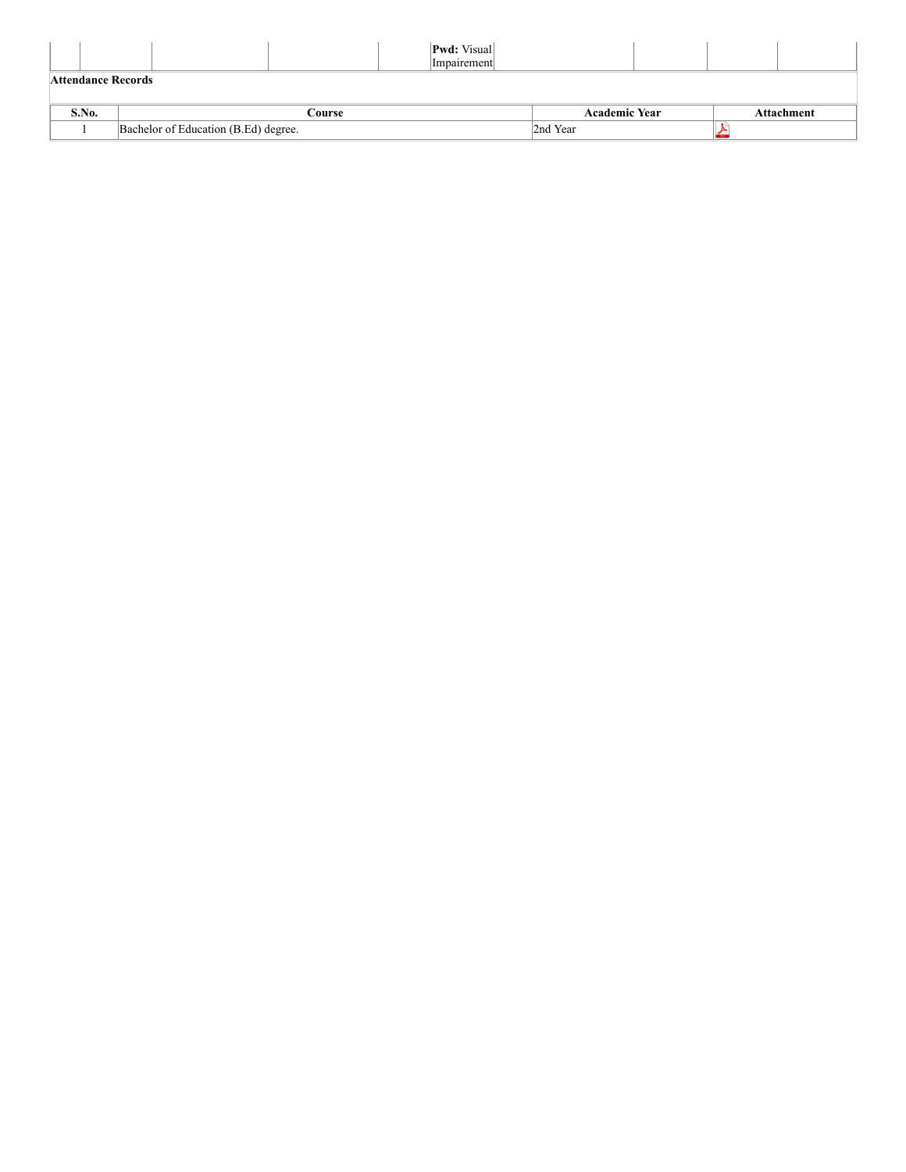|                    |                                      |        | <b>Pwd:</b> Visual<br>Impairement |                      |  |            |
|--------------------|--------------------------------------|--------|-----------------------------------|----------------------|--|------------|
| Attendance Records |                                      |        |                                   |                      |  |            |
| S.No.              |                                      | Course |                                   | <b>Academic Year</b> |  | Attachment |
|                    | Bachelor of Education (B.Ed) degree. |        |                                   | 2nd Year             |  |            |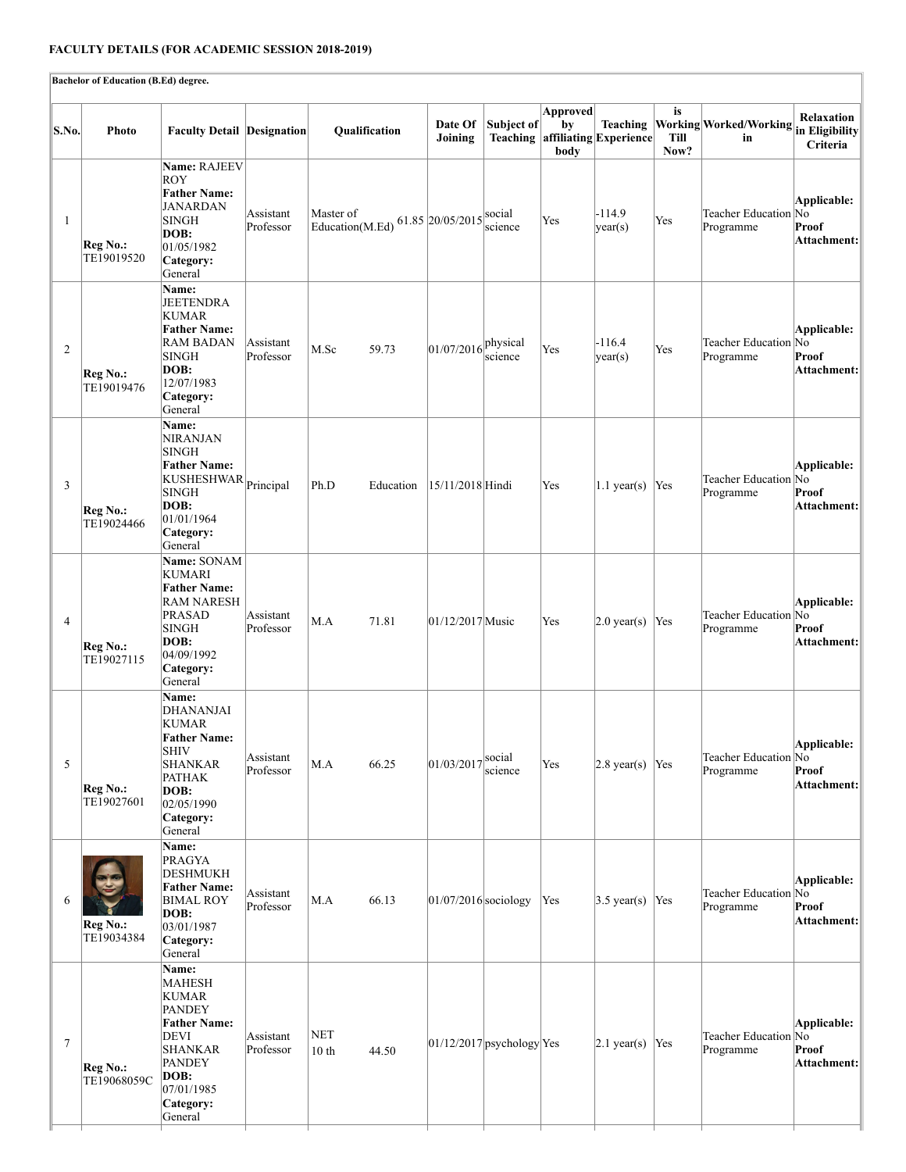# **FACULTY DETAILS (FOR ACADEMIC SESSION 2018-2019)**

Iŀ

|                | Bachelor of Education (B.Ed) degree. |                                                                                                                                                              |                        |                                         |                                    |                             |                               |                                             |                           |                                   |                                            |
|----------------|--------------------------------------|--------------------------------------------------------------------------------------------------------------------------------------------------------------|------------------------|-----------------------------------------|------------------------------------|-----------------------------|-------------------------------|---------------------------------------------|---------------------------|-----------------------------------|--------------------------------------------|
| S.No.          | <b>Photo</b>                         | <b>Faculty Detail Designation</b>                                                                                                                            |                        | Qualification                           | Date Of<br>Joining                 | Subject of                  | <b>Approved</b><br>by<br>body | Teaching<br>Teaching affiliating Experience | is<br><b>Till</b><br>Now? | Working Worked/Working<br>in      | Relaxation<br>in Eligibility<br>Criteria   |
| 1              | Reg No.:<br>TE19019520               | Name: RAJEEV<br>ROY<br><b>Father Name:</b><br>JANARDAN<br><b>SINGH</b><br>DOB:<br>01/05/1982<br>Category:<br>General                                         | Assistant<br>Professor | Master of<br>Education(M.Ed)            | 61.85 $ 20/05/2015 $ social        | science                     | Yes                           | $-114.9$<br>$\sqrt{var(s)}$                 | Yes                       | Teacher Education No<br>Programme | Applicable:<br>Proof<br>Attachment:        |
| 2              | Reg No.:<br>TE19019476               | Name:<br>JEETENDRA<br>KUMAR<br><b>Father Name:</b><br><b>RAM BADAN</b><br><b>SINGH</b><br>DOB:<br>12/07/1983<br>Category:<br>General                         | Assistant<br>Professor | M.Sc<br>59.73                           | $ 01/07/2016 $ <sup>physical</sup> | science                     | Yes                           | $-116.4$<br> year(s)                        | Yes                       | Teacher Education No<br>Programme | Applicable:<br>Proof<br>Attachment:        |
| 3              | Reg No.:<br>TE19024466               | <b>Name:</b><br><b>NIRANJAN</b><br><b>SINGH</b><br><b>Father Name:</b><br>KUSHESHWAR Principal<br><b>SINGH</b><br>DOB:<br>01/01/1964<br>Category:<br>General |                        | Ph.D<br>Education                       | 15/11/2018 Hindi                   |                             | Yes                           | $1.1$ year(s)                               | Yes                       | Teacher Education No<br>Programme | Applicable:<br>Proof<br>Attachment:        |
| 4              | Reg No.:<br>TE19027115               | Name: SONAM<br>KUMARI<br><b>Father Name:</b><br>RAM NARESH<br>PRASAD<br>SINGH<br>DOB:<br>04/09/1992<br>Category:<br>General                                  | Assistant<br>Professor | M.A<br>71.81                            | 01/12/2017 Music                   |                             | Yes                           | $ 2.0 \text{ year(s)} $                     | Yes                       | Teacher Education No<br>Programme | Applicable:<br>Proof<br>Attachment:        |
| 5              | Reg No.:<br>TE19027601               | <b>Name:</b><br>DHANANJAI<br>KUMAR<br><b>Father Name:</b><br>SHIV<br><b>SHANKAR</b><br><b>PATHAK</b><br>DOB:<br>02/05/1990<br>Category:<br>General           | Assistant<br>Professor | M.A<br>66.25                            | 01/03/2017                         | social<br>science           | Yes                           | $2.8 \text{ year(s)}$ Yes                   |                           | Teacher Education No<br>Programme | Applicable:<br>Proof<br>Attachment:        |
| 6              | Reg No.:<br>TE19034384               | Name:<br><b>PRAGYA</b><br>DESHMUKH<br><b>Father Name:</b><br>BIMAL ROY<br>DOB:<br>03/01/1987<br>Category:<br>General                                         | Assistant<br>Professor | 66.13<br>M.A                            | $01/07/2016$ sociology             |                             | Yes                           | $3.5 \text{ year(s)}$                       | Yes                       | Teacher Education No<br>Programme | <b>Applicable:</b><br>Proof<br>Attachment: |
| $\overline{7}$ | Reg No.:<br>TE19068059C              | Name:<br>MAHESH<br>KUMAR<br><b>PANDEY</b><br><b>Father Name:</b><br>DEVI<br><b>SHANKAR</b><br><b>PANDEY</b><br>DOB:<br>07/01/1985<br>Category:<br>General    | Assistant<br>Professor | <b>NET</b><br>10 <sub>th</sub><br>44.50 |                                    | $01/12/2017$ psychology Yes |                               | $ 2.1 \text{ year(s)} $                     | Yes                       | Teacher Education No<br>Programme | Applicable:<br>Proof<br>Attachment:        |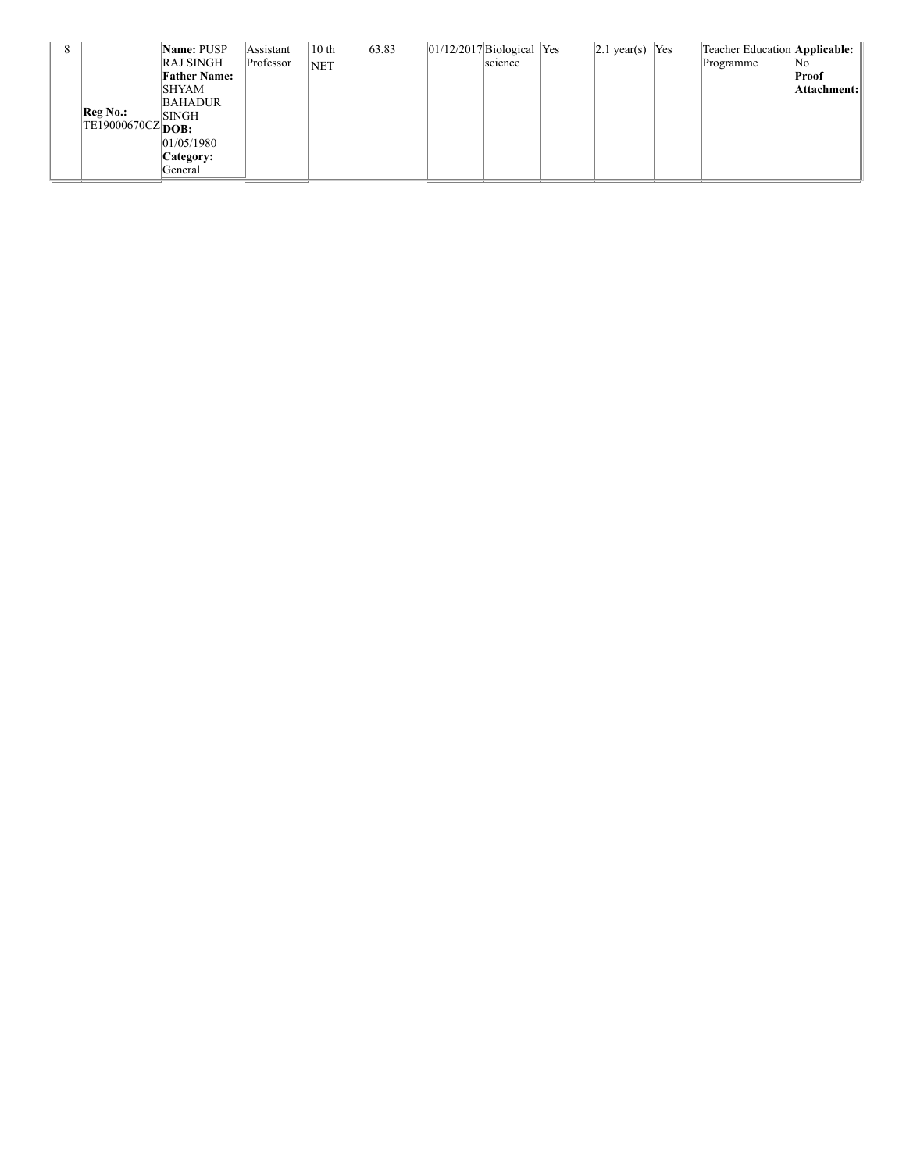| 8 |                                         | Name: PUSP<br><b>RAJ SINGH</b> | Assistant<br>Professor | 10 <sub>th</sub><br><b>NET</b> | 63.83 | $ 01/12/2017 $ Biological Yes | science | $ 2.1 \text{ year(s)} $ Yes | Teacher Education Applicable:   <br>Programme | No.         |
|---|-----------------------------------------|--------------------------------|------------------------|--------------------------------|-------|-------------------------------|---------|-----------------------------|-----------------------------------------------|-------------|
|   |                                         | <b>Father Name:</b>            |                        |                                |       |                               |         |                             |                                               | Proof       |
|   |                                         | <b>SHYAM</b>                   |                        |                                |       |                               |         |                             |                                               | Attachment: |
|   |                                         | <b>BAHADUR</b>                 |                        |                                |       |                               |         |                             |                                               |             |
|   | Reg No.<br>TE19000670CZ <sub>DOB:</sub> | <b>SINGH</b>                   |                        |                                |       |                               |         |                             |                                               |             |
|   |                                         |                                |                        |                                |       |                               |         |                             |                                               |             |
|   |                                         | 01/05/1980                     |                        |                                |       |                               |         |                             |                                               |             |
|   |                                         | Category:                      |                        |                                |       |                               |         |                             |                                               |             |
|   |                                         | General                        |                        |                                |       |                               |         |                             |                                               |             |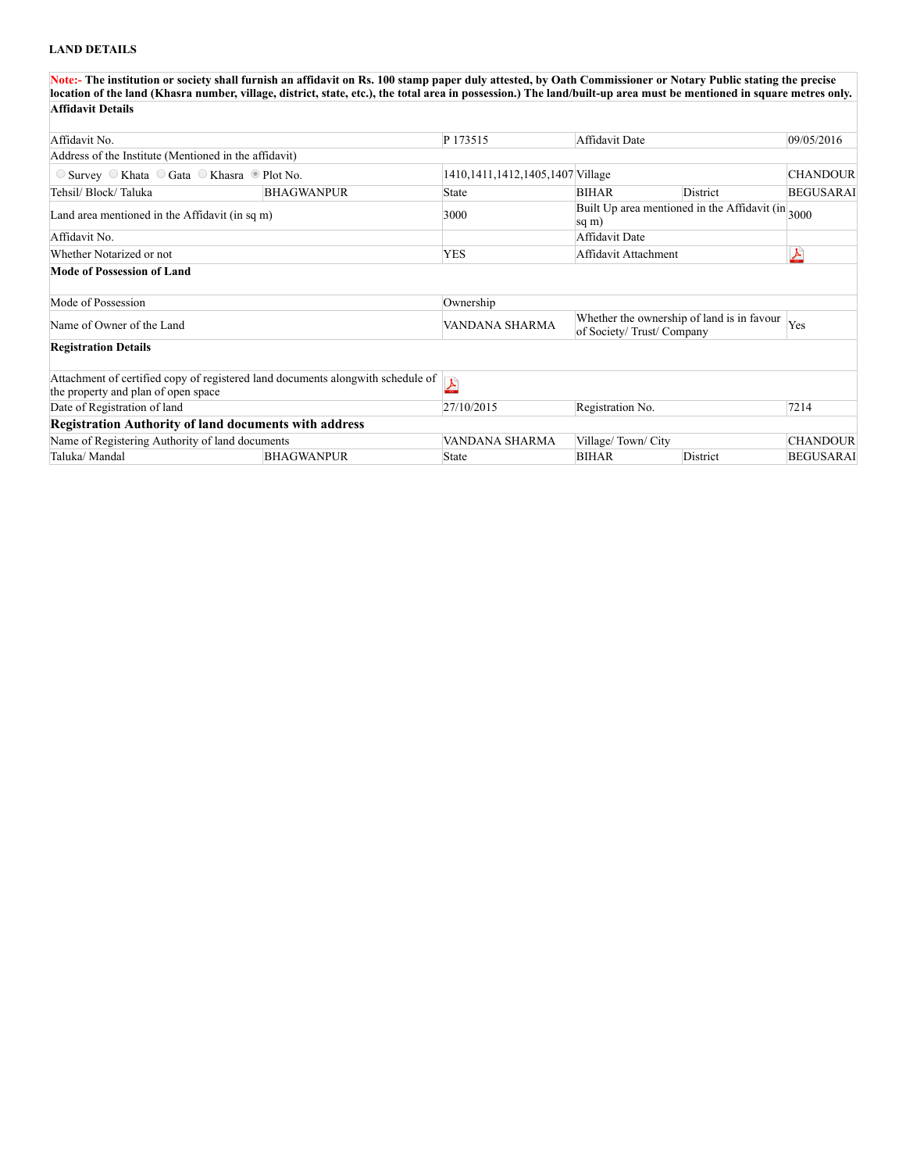## **LAND DETAILS**

**Note:- The institution or society shall furnish an affidavit on Rs. 100 stamp paper duly attested, by Oath Commissioner or Notary Public stating the precise location of the land (Khasra number, village, district, state, etc.), the total area in possession.) The land/built-up area must be mentioned in square metres only. Affidavit Details**

| Affidavit No.                                                             |                                                                                 | P 173515                             | Affidavit Date           |                                                                | 09/05/2016       |
|---------------------------------------------------------------------------|---------------------------------------------------------------------------------|--------------------------------------|--------------------------|----------------------------------------------------------------|------------------|
| Address of the Institute (Mentioned in the affidavit)                     |                                                                                 |                                      |                          |                                                                |                  |
| $\circ$ Survey $\circ$ Khata $\circ$ Gata $\circ$ Khasra $\circ$ Plot No. |                                                                                 | 1410, 1411, 1412, 1405, 1407 Village |                          |                                                                | <b>CHANDOUR</b>  |
| Tehsil/ Block/ Taluka                                                     | <b>BHAGWANPUR</b>                                                               | <b>State</b>                         | <b>BIHAR</b>             | District                                                       | <b>BEGUSARAI</b> |
| Land area mentioned in the Affidavit (in sq m)                            |                                                                                 | 3000                                 | sq m)                    | Built Up area mentioned in the Affidavit (in <sub>3000</sub> ) |                  |
| Affidavit No.                                                             |                                                                                 |                                      | Affidavit Date           |                                                                |                  |
| Whether Notarized or not                                                  |                                                                                 | <b>YES</b>                           | Affidavit Attachment     |                                                                | 스                |
| Mode of Possession of Land                                                |                                                                                 |                                      |                          |                                                                |                  |
| Mode of Possession                                                        |                                                                                 | Ownership                            |                          |                                                                |                  |
| Name of Owner of the Land                                                 |                                                                                 | VANDANA SHARMA                       | of Society/Trust/Company | Whether the ownership of land is in favour                     | Yes              |
| <b>Registration Details</b>                                               |                                                                                 |                                      |                          |                                                                |                  |
| the property and plan of open space                                       | Attachment of certified copy of registered land documents alongwith schedule of | $\blacktriangle$                     |                          |                                                                |                  |
| Date of Registration of land                                              |                                                                                 | 27/10/2015                           | Registration No.         |                                                                | 7214             |
| <b>Registration Authority of land documents with address</b>              |                                                                                 |                                      |                          |                                                                |                  |
| Name of Registering Authority of land documents                           |                                                                                 | VANDANA SHARMA                       | Village/Town/City        |                                                                | <b>CHANDOUR</b>  |
| Taluka/ Mandal                                                            | <b>BHAGWANPUR</b>                                                               | <b>State</b>                         | <b>BIHAR</b>             | District                                                       | <b>BEGUSARAI</b> |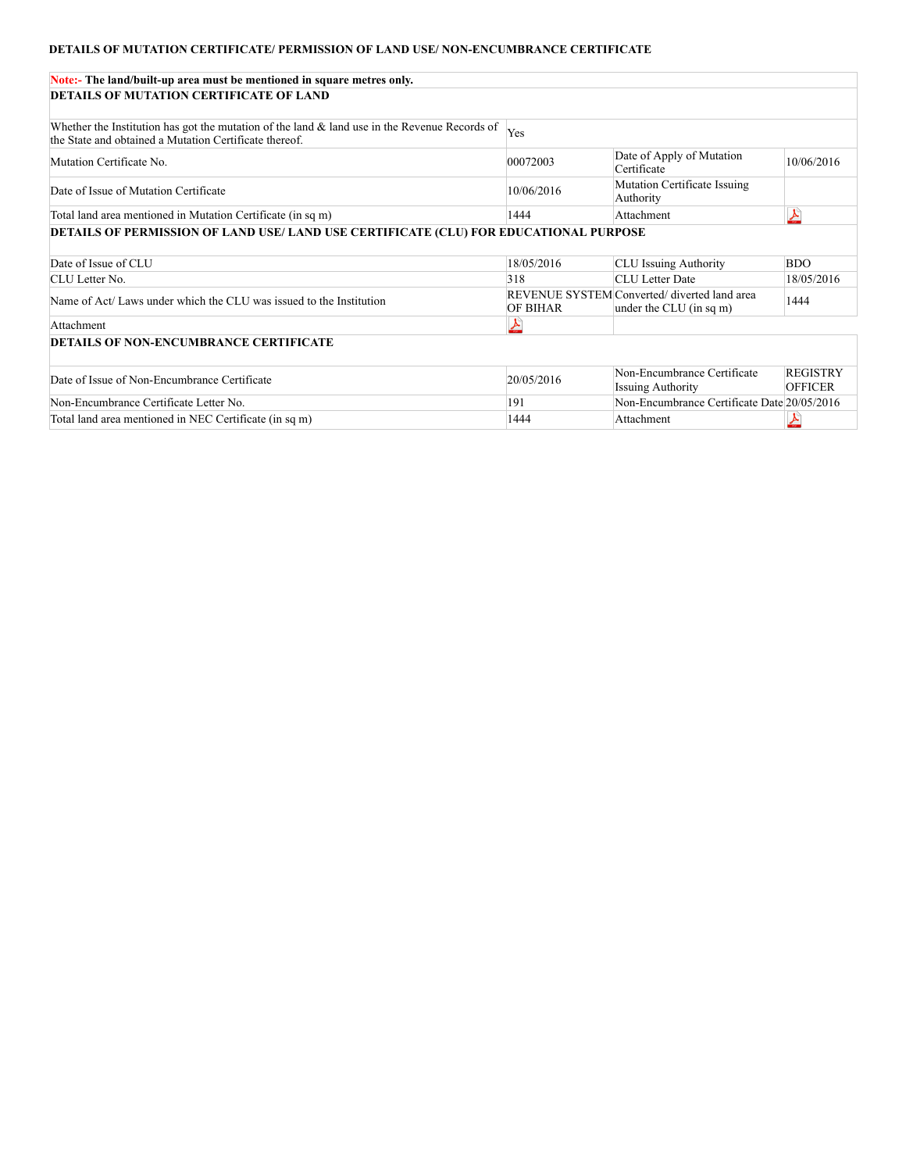## **DETAILS OF MUTATION CERTIFICATE/ PERMISSION OF LAND USE/ NON-ENCUMBRANCE CERTIFICATE**

| Note:- The land/built-up area must be mentioned in square metres only.                                                                                     |                 |                                                                         |                                   |
|------------------------------------------------------------------------------------------------------------------------------------------------------------|-----------------|-------------------------------------------------------------------------|-----------------------------------|
| DETAILS OF MUTATION CERTIFICATE OF LAND                                                                                                                    |                 |                                                                         |                                   |
| Whether the Institution has got the mutation of the land $\&$ land use in the Revenue Records of<br>the State and obtained a Mutation Certificate thereof. | Yes             |                                                                         |                                   |
| Mutation Certificate No.                                                                                                                                   | 00072003        | Date of Apply of Mutation<br>Certificate                                | 10/06/2016                        |
| Date of Issue of Mutation Certificate                                                                                                                      | 10/06/2016      | <b>Mutation Certificate Issuing</b><br>Authority                        |                                   |
| Total land area mentioned in Mutation Certificate (in sq m)                                                                                                | 1444            | Attachment                                                              | $\blacktriangle$                  |
| DETAILS OF PERMISSION OF LAND USE/ LAND USE CERTIFICATE (CLU) FOR EDUCATIONAL PURPOSE                                                                      |                 |                                                                         |                                   |
| Date of Issue of CLU                                                                                                                                       | 18/05/2016      | <b>CLU</b> Issuing Authority                                            | <b>BDO</b>                        |
| CLU Letter No.                                                                                                                                             | 318             | <b>CLU</b> Letter Date                                                  | 18/05/2016                        |
| Name of Act/Laws under which the CLU was issued to the Institution                                                                                         | <b>OF BIHAR</b> | REVENUE SYSTEM Converted/ diverted land area<br>under the CLU (in sq m) | 1444                              |
| Attachment                                                                                                                                                 |                 |                                                                         |                                   |
| DETAILS OF NON-ENCUMBRANCE CERTIFICATE                                                                                                                     |                 |                                                                         |                                   |
| Date of Issue of Non-Encumbrance Certificate                                                                                                               | 20/05/2016      | Non-Encumbrance Certificate<br><b>Issuing Authority</b>                 | <b>REGISTRY</b><br><b>OFFICER</b> |
| Non-Encumbrance Certificate Letter No.                                                                                                                     | 191             | Non-Encumbrance Certificate Date 20/05/2016                             |                                   |
| Total land area mentioned in NEC Certificate (in sq m)                                                                                                     | 1444            | Attachment                                                              |                                   |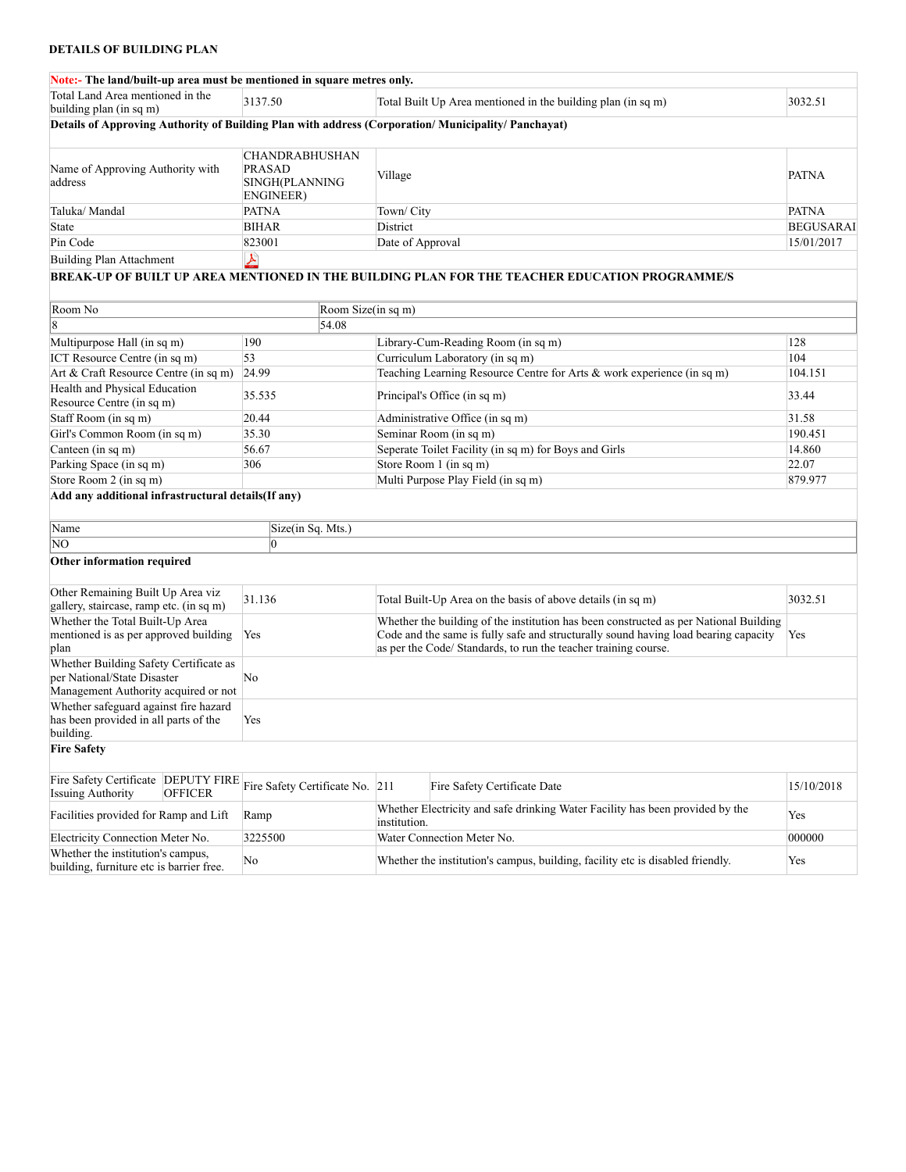## **DETAILS OF BUILDING PLAN**

| Note:- The land/built-up area must be mentioned in square metres only.                                        |                                                                       |                                                                                       |                                                                                                                                                                                                                                                 |                  |
|---------------------------------------------------------------------------------------------------------------|-----------------------------------------------------------------------|---------------------------------------------------------------------------------------|-------------------------------------------------------------------------------------------------------------------------------------------------------------------------------------------------------------------------------------------------|------------------|
| Total Land Area mentioned in the<br>building plan (in sq m)                                                   | 3137.50                                                               |                                                                                       | Total Built Up Area mentioned in the building plan (in sq m)                                                                                                                                                                                    | 3032.51          |
| Details of Approving Authority of Building Plan with address (Corporation/Municipality/Panchayat)             |                                                                       |                                                                                       |                                                                                                                                                                                                                                                 |                  |
|                                                                                                               |                                                                       |                                                                                       |                                                                                                                                                                                                                                                 |                  |
| Name of Approving Authority with<br>address                                                                   | <b>CHANDRABHUSHAN</b><br><b>PRASAD</b><br>SINGH(PLANNING<br>ENGINEER) | Village                                                                               | <b>PATNA</b>                                                                                                                                                                                                                                    |                  |
| Taluka/ Mandal                                                                                                | <b>PATNA</b>                                                          | Town/City                                                                             |                                                                                                                                                                                                                                                 | <b>PATNA</b>     |
| <b>State</b>                                                                                                  | <b>BIHAR</b>                                                          | District                                                                              |                                                                                                                                                                                                                                                 | <b>BEGUSARAI</b> |
| Pin Code                                                                                                      | 823001                                                                | Date of Approval                                                                      |                                                                                                                                                                                                                                                 | 15/01/2017       |
| <b>Building Plan Attachment</b>                                                                               | 上                                                                     |                                                                                       |                                                                                                                                                                                                                                                 |                  |
|                                                                                                               |                                                                       |                                                                                       | BREAK-UP OF BUILT UP AREA MENTIONED IN THE BUILDING PLAN FOR THE TEACHER EDUCATION PROGRAMME/S                                                                                                                                                  |                  |
|                                                                                                               |                                                                       |                                                                                       |                                                                                                                                                                                                                                                 |                  |
| Room No                                                                                                       | Room Size(in sq m)                                                    |                                                                                       |                                                                                                                                                                                                                                                 |                  |
|                                                                                                               | 54.08                                                                 |                                                                                       |                                                                                                                                                                                                                                                 |                  |
| Multipurpose Hall (in sq m)                                                                                   | 190                                                                   |                                                                                       | Library-Cum-Reading Room (in sq m)                                                                                                                                                                                                              | 128              |
| ICT Resource Centre (in sq m)                                                                                 | 53                                                                    |                                                                                       | Curriculum Laboratory (in sq m)                                                                                                                                                                                                                 | 104              |
| Art & Craft Resource Centre (in sq m)                                                                         | 24.99                                                                 |                                                                                       | Teaching Learning Resource Centre for Arts & work experience (in sq m)                                                                                                                                                                          | 104.151          |
| Health and Physical Education<br>Resource Centre (in sq m)                                                    | 35.535                                                                | Principal's Office (in sq m)                                                          |                                                                                                                                                                                                                                                 | 33.44            |
| Staff Room (in sq m)                                                                                          | 20.44                                                                 | Administrative Office (in sq m)                                                       |                                                                                                                                                                                                                                                 | 31.58            |
| Girl's Common Room (in sq m)                                                                                  | 35.30                                                                 | Seminar Room (in sq m)                                                                |                                                                                                                                                                                                                                                 | 190.451          |
| Canteen (in sq m)                                                                                             | 56.67                                                                 |                                                                                       | Seperate Toilet Facility (in sq m) for Boys and Girls                                                                                                                                                                                           | 14.860           |
| Parking Space (in sq m)                                                                                       | 306                                                                   | Store Room 1 (in sq m)                                                                |                                                                                                                                                                                                                                                 | 22.07            |
| Store Room 2 (in sq m)                                                                                        |                                                                       |                                                                                       | Multi Purpose Play Field (in sq m)                                                                                                                                                                                                              | 879.977          |
| Add any additional infrastructural details(If any)                                                            |                                                                       |                                                                                       |                                                                                                                                                                                                                                                 |                  |
|                                                                                                               |                                                                       |                                                                                       |                                                                                                                                                                                                                                                 |                  |
| Name                                                                                                          | Size(in Sq. Mts.)                                                     |                                                                                       |                                                                                                                                                                                                                                                 |                  |
| NO                                                                                                            | 0                                                                     |                                                                                       |                                                                                                                                                                                                                                                 |                  |
| Other information required                                                                                    |                                                                       |                                                                                       |                                                                                                                                                                                                                                                 |                  |
| Other Remaining Built Up Area viz<br>gallery, staircase, ramp etc. (in sq m)                                  | 31.136                                                                |                                                                                       | Total Built-Up Area on the basis of above details (in sq m)                                                                                                                                                                                     | 3032.51          |
| Whether the Total Built-Up Area<br>mentioned is as per approved building<br>plan                              | Yes                                                                   |                                                                                       | Whether the building of the institution has been constructed as per National Building<br>Code and the same is fully safe and structurally sound having load bearing capacity<br>as per the Code/ Standards, to run the teacher training course. | Yes              |
| Whether Building Safety Certificate as<br>per National/State Disaster<br>Management Authority acquired or not | No                                                                    |                                                                                       |                                                                                                                                                                                                                                                 |                  |
| Whether safeguard against fire hazard<br>has been provided in all parts of the<br>building.                   | Yes                                                                   |                                                                                       |                                                                                                                                                                                                                                                 |                  |
| <b>Fire Safety</b>                                                                                            |                                                                       |                                                                                       |                                                                                                                                                                                                                                                 |                  |
| Fire Safety Certificate DEPUTY FIRE<br><b>Issuing Authority</b><br><b>OFFICER</b>                             | Fire Safety Certificate No. 211                                       | Fire Safety Certificate Date                                                          |                                                                                                                                                                                                                                                 | 15/10/2018       |
| Facilities provided for Ramp and Lift                                                                         | Ramp                                                                  | institution.                                                                          | Whether Electricity and safe drinking Water Facility has been provided by the                                                                                                                                                                   | Yes              |
| Electricity Connection Meter No.                                                                              | 3225500                                                               | Water Connection Meter No.                                                            |                                                                                                                                                                                                                                                 | 000000           |
| Whether the institution's campus,<br>building, furniture etc is barrier free.                                 | No                                                                    | Whether the institution's campus, building, facility etc is disabled friendly.<br>Yes |                                                                                                                                                                                                                                                 |                  |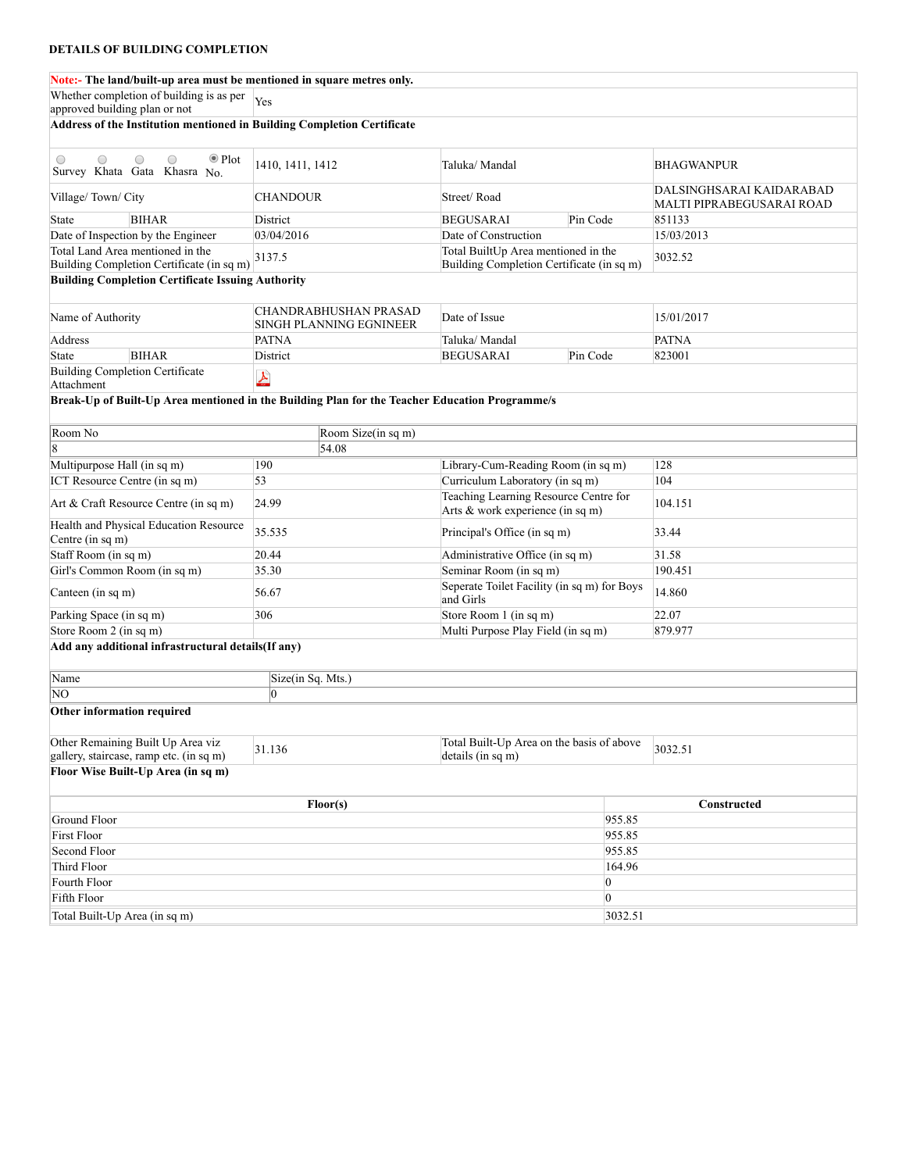#### **Note:- The land/built-up area must be mentioned in square metres only.**

| <u>wit:- тистани/bunt-up area must be inchtioned in square incircs only.</u>                           |                                                         |                                                                                  |                                                       |  |  |
|--------------------------------------------------------------------------------------------------------|---------------------------------------------------------|----------------------------------------------------------------------------------|-------------------------------------------------------|--|--|
| Whether completion of building is as per<br>approved building plan or not                              | Yes                                                     |                                                                                  |                                                       |  |  |
| Address of the Institution mentioned in Building Completion Certificate                                |                                                         |                                                                                  |                                                       |  |  |
|                                                                                                        |                                                         |                                                                                  |                                                       |  |  |
| $\bullet$ Plot<br>$\bigcirc$<br>$\bigcirc$<br>$\bigcirc$<br>$\bigcirc$<br>Survey Khata Gata Khasra No. | 1410, 1411, 1412                                        | Taluka/Mandal                                                                    | <b>BHAGWANPUR</b>                                     |  |  |
| Village/Town/City                                                                                      | <b>CHANDOUR</b>                                         | Street/Road                                                                      | DALSINGHSARAI KAIDARABAD<br>MALTI PIPRABEGUSARAI ROAD |  |  |
| <b>BIHAR</b><br>State                                                                                  | District                                                | <b>BEGUSARAI</b><br>Pin Code                                                     | 851133                                                |  |  |
| Date of Inspection by the Engineer                                                                     | 03/04/2016                                              | Date of Construction                                                             | 15/03/2013                                            |  |  |
| Total Land Area mentioned in the<br>Building Completion Certificate (in sq m)                          | 3137.5                                                  | Total BuiltUp Area mentioned in the<br>Building Completion Certificate (in sq m) | 3032.52                                               |  |  |
| <b>Building Completion Certificate Issuing Authority</b>                                               |                                                         |                                                                                  |                                                       |  |  |
|                                                                                                        |                                                         |                                                                                  |                                                       |  |  |
| Name of Authority                                                                                      | <b>CHANDRABHUSHAN PRASAD</b><br>SINGH PLANNING EGNINEER | Date of Issue                                                                    | 15/01/2017                                            |  |  |
| Address                                                                                                | <b>PATNA</b>                                            | Taluka/ Mandal                                                                   | <b>PATNA</b>                                          |  |  |
| <b>BIHAR</b><br>State                                                                                  | District                                                | <b>BEGUSARAI</b><br>Pin Code                                                     | 823001                                                |  |  |
| <b>Building Completion Certificate</b><br>Attachment                                                   | $\blacktriangle$                                        |                                                                                  |                                                       |  |  |
| Break-Up of Built-Up Area mentioned in the Building Plan for the Teacher Education Programme/s         |                                                         |                                                                                  |                                                       |  |  |
| Room No                                                                                                | Room Size(in sq m)                                      |                                                                                  |                                                       |  |  |
| 8                                                                                                      | $\sqrt{54.08}$                                          |                                                                                  |                                                       |  |  |
| Multipurpose Hall (in sq m)                                                                            | 190                                                     | Library-Cum-Reading Room (in sq m)                                               | 128                                                   |  |  |
| ICT Resource Centre (in sq m)                                                                          | 53                                                      | Curriculum Laboratory (in sq m)                                                  | 104                                                   |  |  |
|                                                                                                        |                                                         | Teaching Learning Resource Centre for                                            |                                                       |  |  |
| Art & Craft Resource Centre (in sq m)                                                                  | 24.99                                                   | Arts & work experience (in sq m)                                                 | 104.151                                               |  |  |
| Health and Physical Education Resource<br>Centre (in sq m)                                             | 35.535                                                  | Principal's Office (in sq m)                                                     | 33.44                                                 |  |  |
| Staff Room (in sq m)                                                                                   | 20.44                                                   | Administrative Office (in sq m)                                                  | 31.58                                                 |  |  |
| Girl's Common Room (in sq m)                                                                           | 35.30                                                   | Seminar Room (in sq m)                                                           | 190.451                                               |  |  |
| Canteen (in sq m)                                                                                      | 56.67                                                   | Seperate Toilet Facility (in sq m) for Boys<br>and Girls                         | 14.860                                                |  |  |
| Parking Space (in sq m)                                                                                | 306                                                     | Store Room 1 (in sq m)                                                           | 22.07                                                 |  |  |
| Store Room 2 (in sq m)                                                                                 |                                                         | Multi Purpose Play Field (in sq m)                                               | 879.977                                               |  |  |
| Add any additional infrastructural details(If any)                                                     |                                                         |                                                                                  |                                                       |  |  |
| Name                                                                                                   | Size(in Sq. Mts.)                                       |                                                                                  |                                                       |  |  |
| ΝO                                                                                                     | l0                                                      |                                                                                  |                                                       |  |  |
| Other information required                                                                             |                                                         |                                                                                  |                                                       |  |  |
| Other Remaining Built Up Area viz                                                                      | 31.136                                                  | Total Built-Up Area on the basis of above                                        |                                                       |  |  |
| gallery, staircase, ramp etc. (in sq m)                                                                |                                                         | details (in sq m)                                                                | 3032.51                                               |  |  |
| Floor Wise Built-Up Area (in sq m)                                                                     |                                                         |                                                                                  |                                                       |  |  |
|                                                                                                        | Floor(s)                                                |                                                                                  | Constructed                                           |  |  |
| Ground Floor                                                                                           |                                                         |                                                                                  | 955.85                                                |  |  |
| <b>First Floor</b>                                                                                     |                                                         |                                                                                  | 955.85                                                |  |  |
| Second Floor                                                                                           |                                                         |                                                                                  | 955.85                                                |  |  |
| Third Floor                                                                                            |                                                         |                                                                                  | 164.96                                                |  |  |
| Fourth Floor                                                                                           |                                                         | $\vert 0 \vert$                                                                  |                                                       |  |  |
| Fifth Floor                                                                                            |                                                         | $\vert 0 \vert$                                                                  |                                                       |  |  |
| Total Built-Up Area (in sq m)                                                                          |                                                         |                                                                                  | 3032.51                                               |  |  |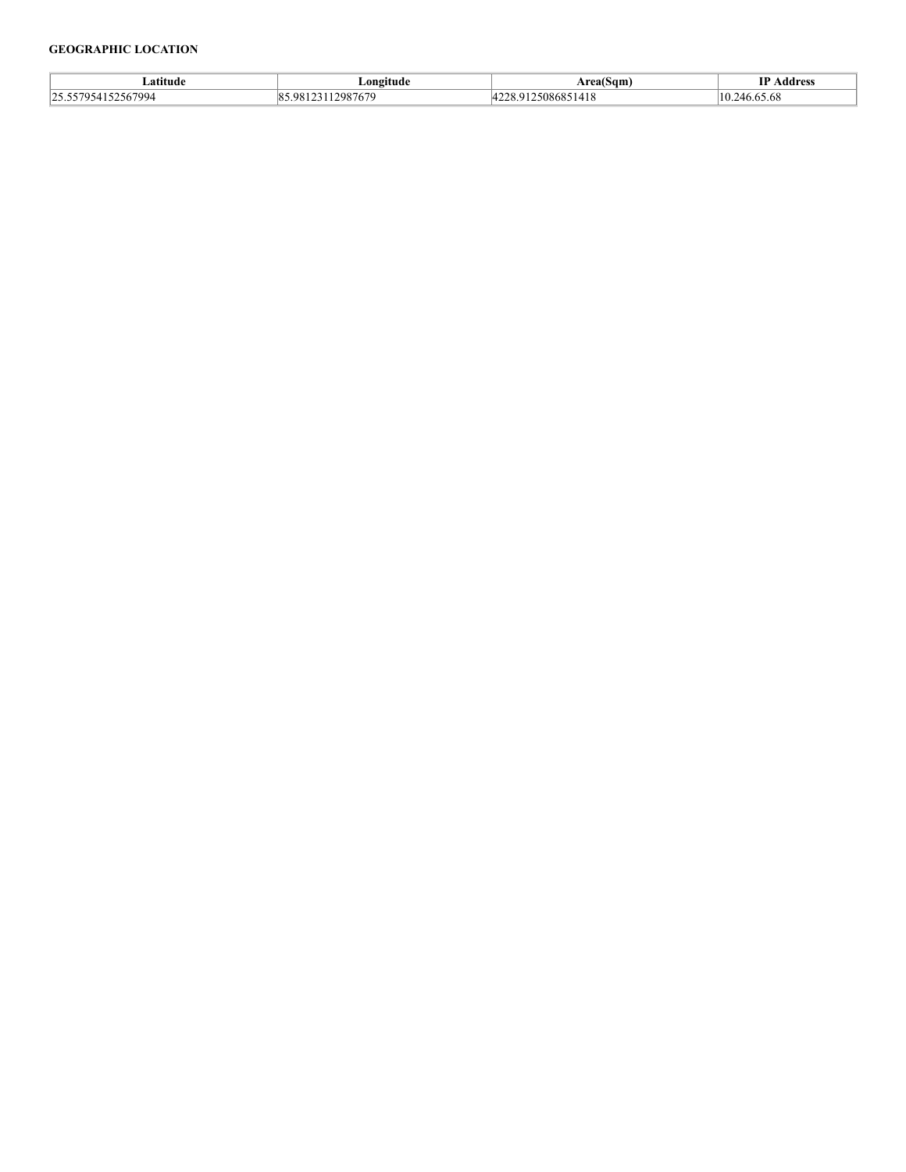## **GEOGRAPHIC LOCATION**

| ∟atitude                                             | Longitude                    | $\overline{\phantom{a}}$<br>Area(Sam' | TD<br>Address              |
|------------------------------------------------------|------------------------------|---------------------------------------|----------------------------|
| 152567994<br>$\overline{\phantom{a}}$<br>7957 L<br>. | 12087670<br>98<br>$\{0, 1\}$ | $\sim$<br>w<br>,,,,,,,<br>1410        | ⁄ I I<br>10.0 <i>0.</i> 00 |
|                                                      |                              |                                       |                            |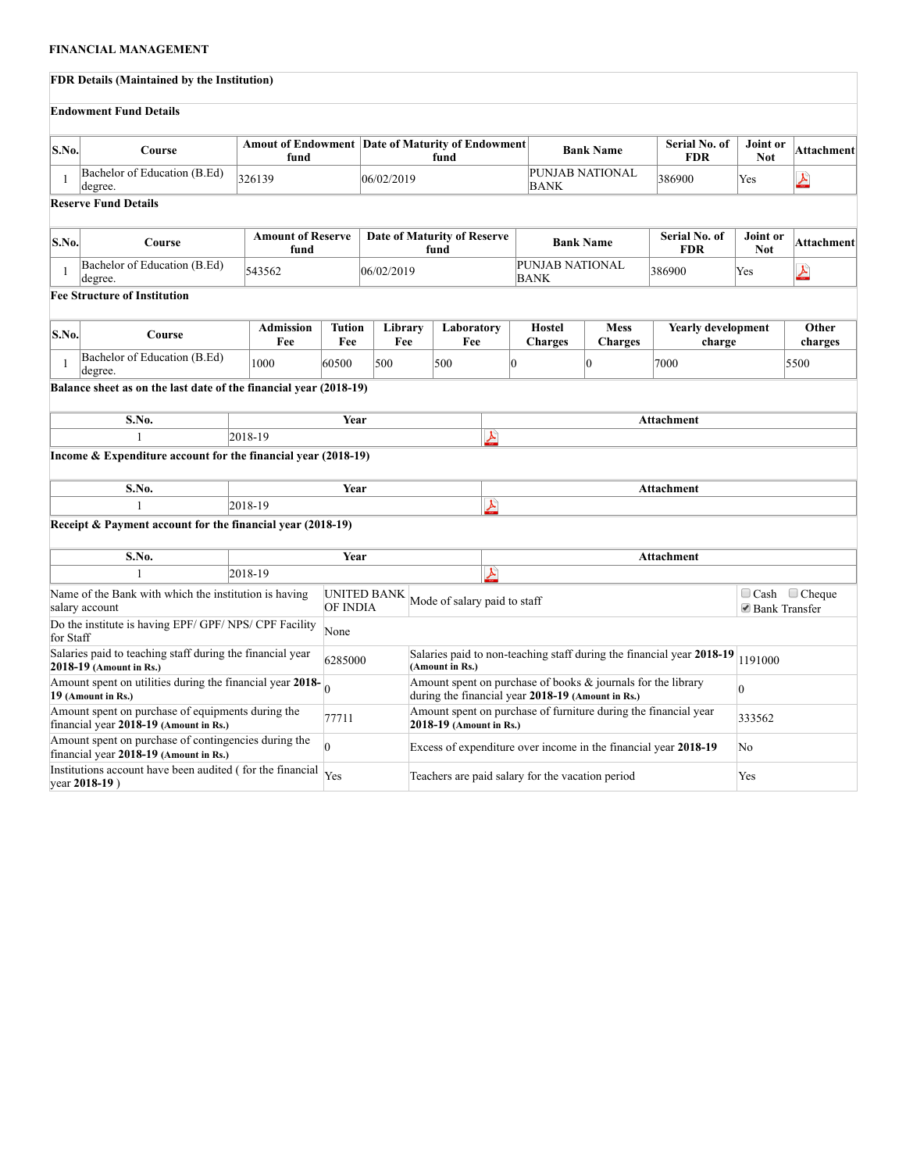# **FINANCIAL MANAGEMENT**

|              | <b>FDR Details (Maintained by the Institution)</b>                                                                                                                                          |                                  |               |                                                                     |    |                                     |                           |                                                 |                                                                                                                   |                                     |                               |            |
|--------------|---------------------------------------------------------------------------------------------------------------------------------------------------------------------------------------------|----------------------------------|---------------|---------------------------------------------------------------------|----|-------------------------------------|---------------------------|-------------------------------------------------|-------------------------------------------------------------------------------------------------------------------|-------------------------------------|-------------------------------|------------|
|              | <b>Endowment Fund Details</b>                                                                                                                                                               |                                  |               |                                                                     |    |                                     |                           |                                                 |                                                                                                                   |                                     |                               |            |
| S.No.        | Course                                                                                                                                                                                      | fund                             |               | <b>Amout of Endowment   Date of Maturity of Endowment  </b><br>fund |    |                                     |                           | Serial No. of<br><b>Bank Name</b><br><b>FDR</b> |                                                                                                                   | Joint or<br><b>Not</b>              | Attachment                    |            |
| 1            | Bachelor of Education (B.Ed)<br>degree.                                                                                                                                                     | 326139                           |               | 06/02/2019                                                          |    | <b>BANK</b>                         | PUNJAB NATIONAL<br>386900 |                                                 | Yes                                                                                                               | <u>لىل</u>                          |                               |            |
|              | <b>Reserve Fund Details</b>                                                                                                                                                                 |                                  |               |                                                                     |    |                                     |                           |                                                 |                                                                                                                   |                                     |                               |            |
| S.No.        | Course                                                                                                                                                                                      | <b>Amount of Reserve</b><br>fund |               |                                                                     |    | Date of Maturity of Reserve<br>fund |                           |                                                 | <b>Bank Name</b>                                                                                                  | Serial No. of<br><b>FDR</b>         | <b>Joint or</b><br><b>Not</b> | Attachment |
| -1           | Bachelor of Education (B.Ed)<br>degree.                                                                                                                                                     | 543562                           |               | 06/02/2019                                                          |    |                                     |                           | PUNJAB NATIONAL<br>BANK                         |                                                                                                                   | 386900                              | Yes                           | <u>لىل</u> |
|              | <b>Fee Structure of Institution</b>                                                                                                                                                         |                                  |               |                                                                     |    |                                     |                           |                                                 |                                                                                                                   |                                     |                               |            |
| S.No.        | Course                                                                                                                                                                                      | <b>Admission</b><br>Fee          | Tution<br>Fee | Library<br>Fee                                                      |    | Laboratory<br>Fee                   |                           | <b>Hostel</b><br><b>Charges</b>                 | <b>Mess</b><br><b>Charges</b>                                                                                     | <b>Yearly development</b><br>charge | Other<br>charges              |            |
| $\mathbf{1}$ | Bachelor of Education (B.Ed)<br>degree.                                                                                                                                                     | 1000                             | 60500         | 500                                                                 |    | 500                                 | 0                         |                                                 | $\overline{0}$                                                                                                    | 7000                                |                               | 5500       |
|              | Balance sheet as on the last date of the financial year (2018-19)                                                                                                                           |                                  |               |                                                                     |    |                                     |                           |                                                 |                                                                                                                   |                                     |                               |            |
|              | S.No.                                                                                                                                                                                       |                                  | Year          |                                                                     |    |                                     |                           |                                                 |                                                                                                                   | Attachment                          |                               |            |
|              | $\mathbf{1}$                                                                                                                                                                                | 2018-19                          |               |                                                                     |    |                                     | 乄                         |                                                 |                                                                                                                   |                                     |                               |            |
|              | Income $&$ Expenditure account for the financial year $(2018-19)$                                                                                                                           |                                  |               |                                                                     |    |                                     |                           |                                                 |                                                                                                                   |                                     |                               |            |
|              | S.No.                                                                                                                                                                                       |                                  | Year          |                                                                     |    |                                     |                           |                                                 |                                                                                                                   | Attachment                          |                               |            |
|              |                                                                                                                                                                                             | 2018-19                          |               |                                                                     |    |                                     | $\blacktriangle$          |                                                 |                                                                                                                   |                                     |                               |            |
|              | Receipt & Payment account for the financial year (2018-19)                                                                                                                                  |                                  |               |                                                                     |    |                                     |                           |                                                 |                                                                                                                   |                                     |                               |            |
|              | S.No.                                                                                                                                                                                       |                                  | Year          |                                                                     |    |                                     |                           |                                                 |                                                                                                                   | <b>Attachment</b>                   |                               |            |
|              | 1                                                                                                                                                                                           | 2018-19                          |               |                                                                     |    |                                     | $\pmb{\gamma}$            |                                                 |                                                                                                                   |                                     |                               |            |
|              | <b>UNITED BANK</b><br>Name of the Bank with which the institution is having<br>Mode of salary paid to staff<br>OF INDIA<br>salary account                                                   |                                  |               |                                                                     |    | ■ Bank Transfer                     | $\Box$ Cash $\Box$ Cheque |                                                 |                                                                                                                   |                                     |                               |            |
|              | Do the institute is having EPF/ GPF/ NPS/ CPF Facility<br>None<br>for Staff                                                                                                                 |                                  |               |                                                                     |    |                                     |                           |                                                 |                                                                                                                   |                                     |                               |            |
|              | Salaries paid to teaching staff during the financial year<br>Salaries paid to non-teaching staff during the financial year 2018-19<br>6285000<br>2018-19 (Amount in Rs.)<br>(Amount in Rs.) |                                  |               |                                                                     |    | 1191000                             |                           |                                                 |                                                                                                                   |                                     |                               |            |
|              | Amount spent on utilities during the financial year $2018$ -<br>19 (Amount in Rs.)                                                                                                          |                                  |               |                                                                     |    |                                     |                           |                                                 | Amount spent on purchase of books & journals for the library<br>during the financial year 2018-19 (Amount in Rs.) |                                     | $\overline{0}$                |            |
|              | Amount spent on purchase of equipments during the<br>financial year 2018-19 (Amount in Rs.)                                                                                                 |                                  | 77711         |                                                                     |    | 2018-19 (Amount in Rs.)             |                           |                                                 | Amount spent on purchase of furniture during the financial year                                                   |                                     | 333562                        |            |
|              | Amount spent on purchase of contingencies during the<br>$\overline{0}$<br>Excess of expenditure over income in the financial year 2018-19<br>financial year 2018-19 (Amount in Rs.)         |                                  |               |                                                                     | No |                                     |                           |                                                 |                                                                                                                   |                                     |                               |            |

Institutions account have been audited (for the financial Yes Teachers are paid salary for the vacation period Yes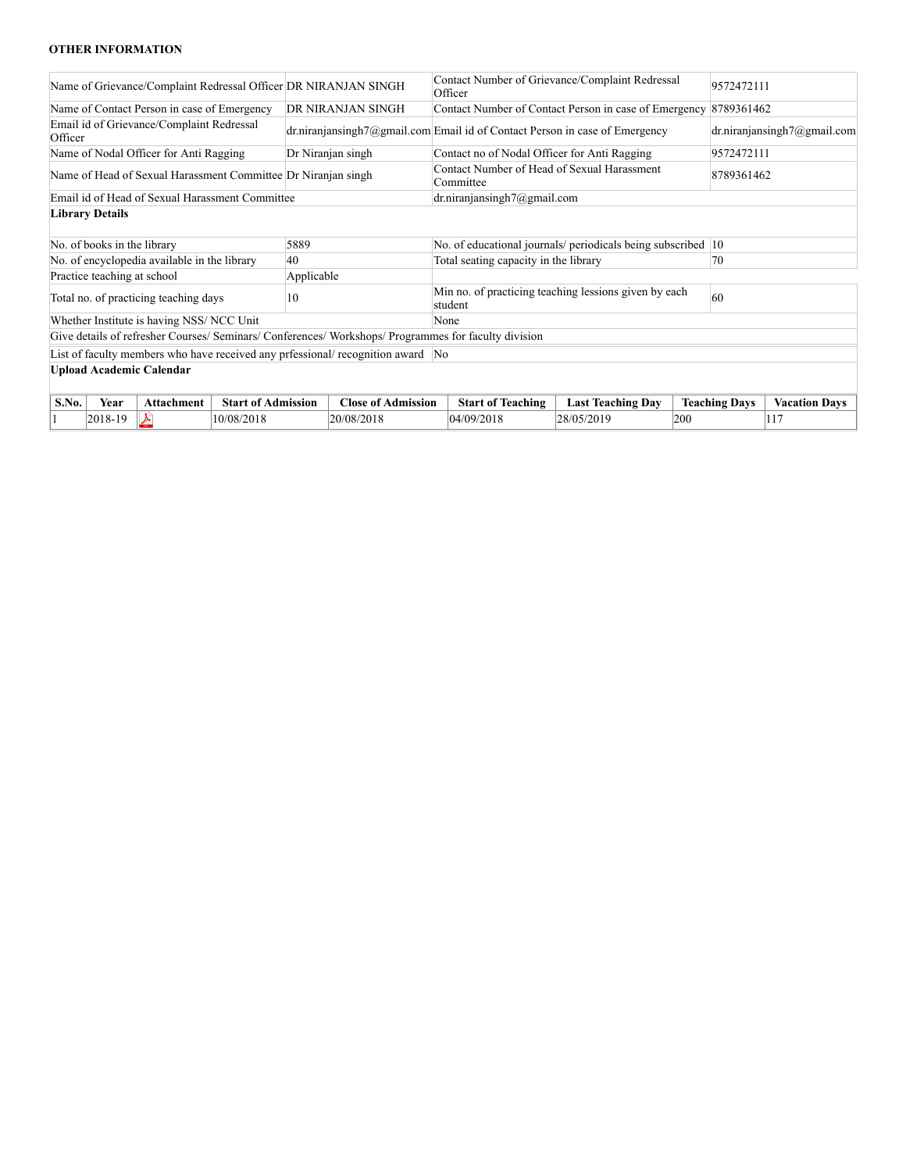## **OTHER INFORMATION**

| Name of Grievance/Complaint Redressal Officer DR NIRANJAN SINGH                                      |                                                               |                                                                                | Contact Number of Grievance/Complaint Redressal<br>Officer |     |                             | 9572472111           |  |
|------------------------------------------------------------------------------------------------------|---------------------------------------------------------------|--------------------------------------------------------------------------------|------------------------------------------------------------|-----|-----------------------------|----------------------|--|
| Name of Contact Person in case of Emergency                                                          | DR NIRANJAN SINGH                                             | Contact Number of Contact Person in case of Emergency                          |                                                            |     | 8789361462                  |                      |  |
| Email id of Grievance/Complaint Redressal<br>Officer                                                 |                                                               | $dr.niranjan singh7@gmail.com$ Email id of Contact Person in case of Emergency |                                                            |     | dr.niranjansingh7@gmail.com |                      |  |
| Name of Nodal Officer for Anti Ragging                                                               | Dr Niranjan singh                                             | Contact no of Nodal Officer for Anti Ragging                                   |                                                            |     | 9572472111                  |                      |  |
|                                                                                                      | Name of Head of Sexual Harassment Committee Dr Niranjan singh |                                                                                | Contact Number of Head of Sexual Harassment<br>Committee   |     |                             | 8789361462           |  |
| Email id of Head of Sexual Harassment Committee                                                      |                                                               | dr.niranjansingh7@gmail.com                                                    |                                                            |     |                             |                      |  |
| <b>Library Details</b>                                                                               |                                                               |                                                                                |                                                            |     |                             |                      |  |
|                                                                                                      |                                                               |                                                                                |                                                            |     |                             |                      |  |
| No. of books in the library                                                                          | 5889                                                          | No. of educational journals/ periodicals being subscribed 10                   |                                                            |     |                             |                      |  |
| No. of encyclopedia available in the library                                                         | 40                                                            |                                                                                | Total seating capacity in the library                      |     |                             |                      |  |
| Practice teaching at school                                                                          | Applicable                                                    |                                                                                |                                                            |     |                             |                      |  |
| 10<br>Total no. of practicing teaching days                                                          |                                                               | Min no. of practicing teaching lessions given by each<br>student               |                                                            |     | 60                          |                      |  |
| Whether Institute is having NSS/NCC Unit                                                             |                                                               | None                                                                           |                                                            |     |                             |                      |  |
| Give details of refresher Courses/ Seminars/ Conferences/ Workshops/ Programmes for faculty division |                                                               |                                                                                |                                                            |     |                             |                      |  |
| List of faculty members who have received any prfessional/ recognition award No                      |                                                               |                                                                                |                                                            |     |                             |                      |  |
| <b>Upload Academic Calendar</b>                                                                      |                                                               |                                                                                |                                                            |     |                             |                      |  |
|                                                                                                      |                                                               |                                                                                |                                                            |     |                             |                      |  |
| S.No.<br>Year<br><b>Start of Admission</b><br>Attachment                                             | <b>Close of Admission</b>                                     | <b>Start of Teaching</b>                                                       | <b>Last Teaching Day</b>                                   |     | <b>Teaching Days</b>        | <b>Vacation Days</b> |  |
| 2018-19<br>10/08/2018<br>⋏                                                                           | 20/08/2018                                                    | 04/09/2018                                                                     | 28/05/2019                                                 | 200 |                             | 117                  |  |
|                                                                                                      |                                                               |                                                                                |                                                            |     |                             |                      |  |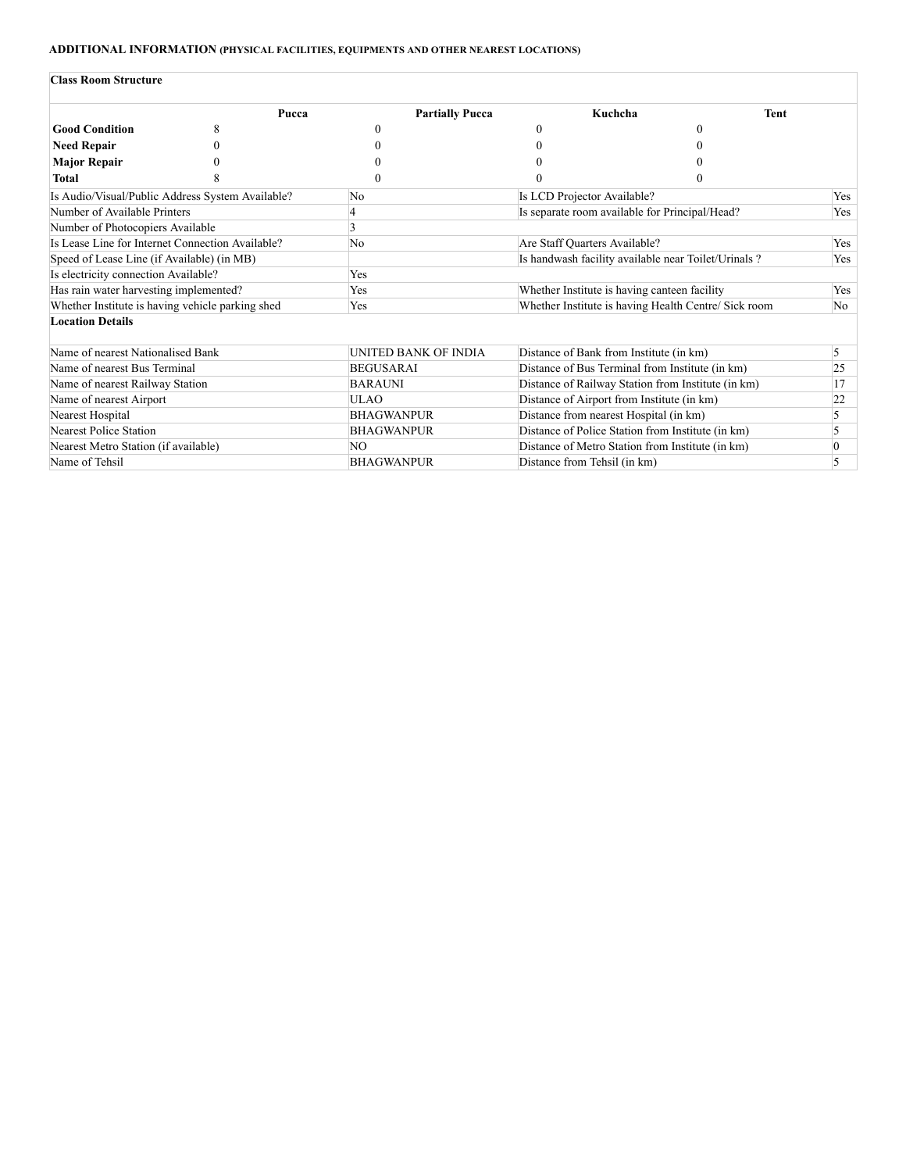## **ADDITIONAL INFORMATION (PHYSICAL FACILITIES, EQUIPMENTS AND OTHER NEAREST LOCATIONS)**

#### **Class Room Structure**

|                                                  | Pucca | <b>Partially Pucca</b> | Kuchcha                                              | <b>Tent</b> |           |
|--------------------------------------------------|-------|------------------------|------------------------------------------------------|-------------|-----------|
| <b>Good Condition</b>                            |       |                        |                                                      |             |           |
| <b>Need Repair</b>                               |       |                        |                                                      |             |           |
| <b>Major Repair</b>                              |       |                        |                                                      |             |           |
| Total                                            |       | $\Omega$               |                                                      |             |           |
| Is Audio/Visual/Public Address System Available? |       | No                     | Is LCD Projector Available?                          |             | Yes       |
| Number of Available Printers                     |       |                        | Is separate room available for Principal/Head?       |             | Yes       |
| Number of Photocopiers Available                 |       | 3                      |                                                      |             |           |
| Is Lease Line for Internet Connection Available? |       | No                     | Are Staff Quarters Available?                        | Yes         |           |
| Speed of Lease Line (if Available) (in MB)       |       |                        | Is handwash facility available near Toilet/Urinals?  | Yes         |           |
| Is electricity connection Available?             |       | Yes                    |                                                      |             |           |
| Has rain water harvesting implemented?           |       | Yes                    | Whether Institute is having canteen facility         |             | Yes       |
| Whether Institute is having vehicle parking shed |       | Yes                    | Whether Institute is having Health Centre/ Sick room |             |           |
| <b>Location Details</b>                          |       |                        |                                                      |             |           |
| Name of nearest Nationalised Bank                |       | UNITED BANK OF INDIA   | Distance of Bank from Institute (in km)              |             | 5         |
| Name of nearest Bus Terminal                     |       | <b>BEGUSARAI</b>       | Distance of Bus Terminal from Institute (in km)      |             | 25        |
| Name of nearest Railway Station                  |       | <b>BARAUNI</b>         | Distance of Railway Station from Institute (in km)   |             | 17        |
| Name of nearest Airport                          |       | <b>ULAO</b>            | Distance of Airport from Institute (in km)           |             | 22        |
| Nearest Hospital                                 |       |                        | Distance from nearest Hospital (in km)               |             | 5         |
| Nearest Police Station                           |       | <b>BHAGWANPUR</b>      | Distance of Police Station from Institute (in km)    |             | 5         |
| Nearest Metro Station (if available)             |       | NO.                    | Distance of Metro Station from Institute (in km)     |             | $\vert$ 0 |
| Name of Tehsil                                   |       | <b>BHAGWANPUR</b>      | Distance from Tehsil (in km)                         |             | 5         |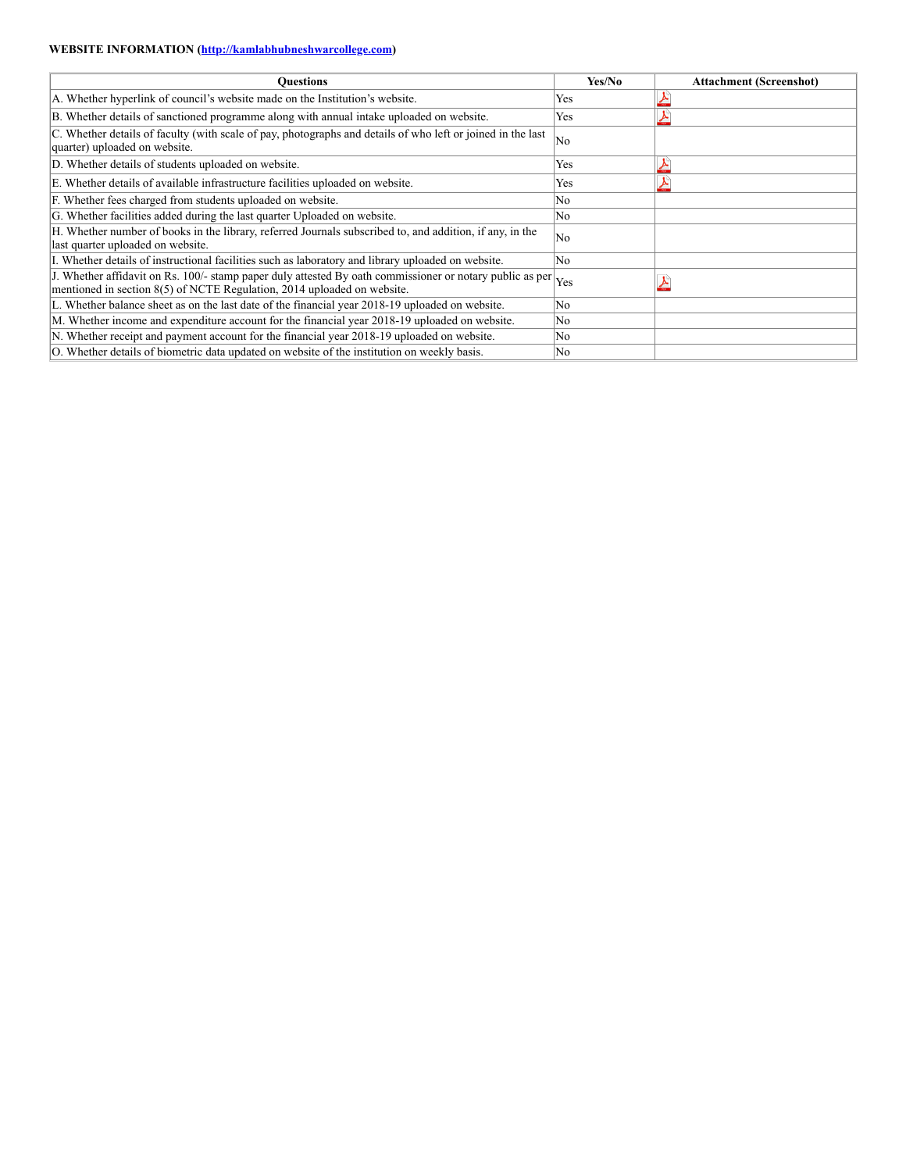## **WEBSITE INFORMATION ([http://kamlabhubneshwarcollege.com](http://http//kamlabhubneshwarcollege.com))**

| Ouestions                                                                                                                                                                                     | Yes/No | <b>Attachment (Screenshot)</b> |
|-----------------------------------------------------------------------------------------------------------------------------------------------------------------------------------------------|--------|--------------------------------|
| A. Whether hyperlink of council's website made on the Institution's website.                                                                                                                  | Yes    |                                |
| B. Whether details of sanctioned programme along with annual intake uploaded on website.                                                                                                      | Yes    |                                |
| C. Whether details of faculty (with scale of pay, photographs and details of who left or joined in the last<br>quarter) uploaded on website.                                                  | No     |                                |
| D. Whether details of students uploaded on website.                                                                                                                                           | Yes    |                                |
| E. Whether details of available infrastructure facilities uploaded on website.                                                                                                                | Yes    |                                |
| F. Whether fees charged from students uploaded on website.                                                                                                                                    | No     |                                |
| G. Whether facilities added during the last quarter Uploaded on website.                                                                                                                      | No     |                                |
| H. Whether number of books in the library, referred Journals subscribed to, and addition, if any, in the<br>last quarter uploaded on website.                                                 | No     |                                |
| I. Whether details of instructional facilities such as laboratory and library uploaded on website.                                                                                            | No     |                                |
| J. Whether affidavit on Rs. 100/- stamp paper duly attested By oath commissioner or notary public as per $ _{Yes}$<br>mentioned in section 8(5) of NCTE Regulation, 2014 uploaded on website. |        |                                |
| L. Whether balance sheet as on the last date of the financial year 2018-19 uploaded on website.                                                                                               | No     |                                |
| M. Whether income and expenditure account for the financial year 2018-19 uploaded on website.                                                                                                 | No     |                                |
| N. Whether receipt and payment account for the financial year 2018-19 uploaded on website.                                                                                                    | No     |                                |
| O. Whether details of biometric data updated on website of the institution on weekly basis.                                                                                                   | No.    |                                |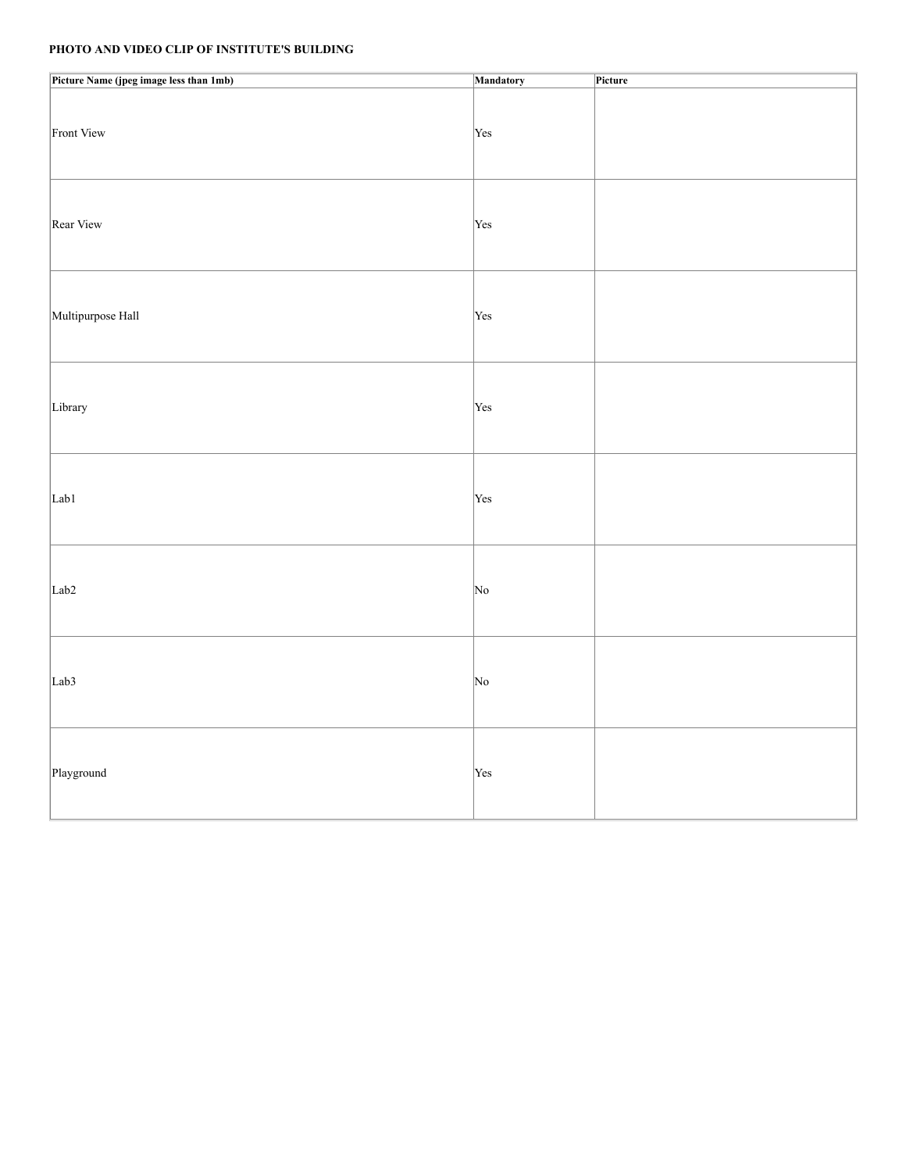# **PHOTO AND VIDEO CLIP OF INSTITUTE'S BUILDING**

| Picture Name (jpeg image less than 1mb) | Mandatory  | Picture |
|-----------------------------------------|------------|---------|
| Front View                              | Yes        |         |
| Rear View                               | Yes        |         |
| Multipurpose Hall                       | Yes        |         |
| Library                                 | Yes        |         |
| Lab1                                    | Yes        |         |
| Lab <sub>2</sub>                        | $\vert$ No |         |
| Lab <sub>3</sub>                        | $\vert$ No |         |
| Playground                              | Yes        |         |